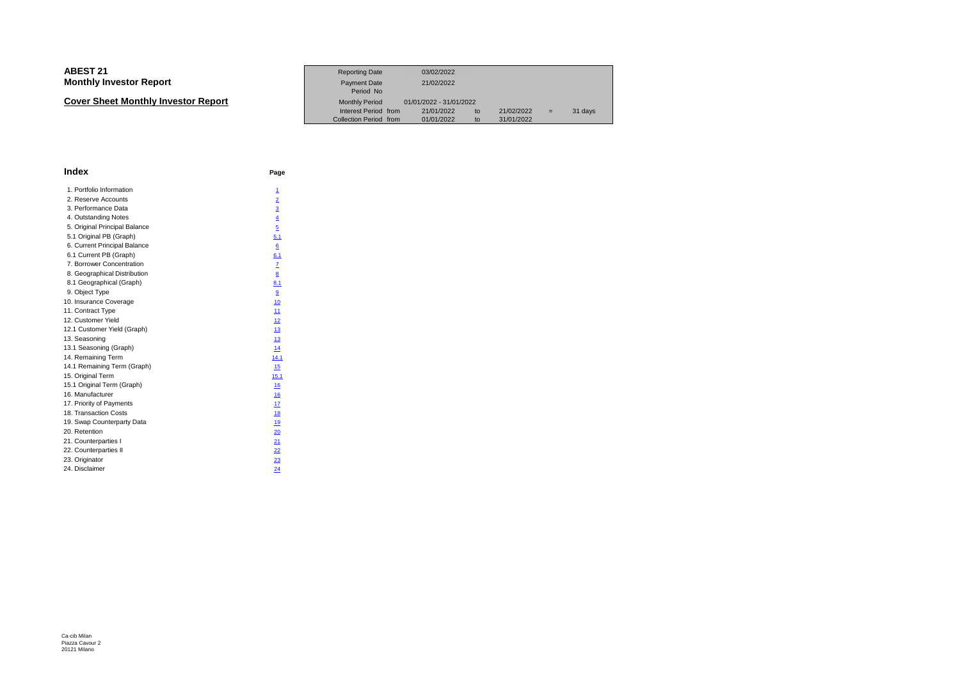#### **ABEST 211** Reporting Date 03/02/2022<br>- Product Data Contract Development of the Reporting Date 03/02/2022 **Monthly Investor Report** Payment Date 21/02/2022Period No**t** Monthly Period 01/01/2022 - 31/01/2022 **Cover Sheet Monthly Investor Report**Interest Period from 21/01/2022 to 21/02/2022 = 31 days<br>Collection Period from 01/01/2022 to 31/01/2022

| Index                         | Page            |
|-------------------------------|-----------------|
| 1. Portfolio Information      | $\mathbf{1}$    |
| 2. Reserve Accounts           | $\overline{2}$  |
| 3. Performance Data           | $\overline{3}$  |
| 4. Outstanding Notes          | $\overline{4}$  |
| 5. Original Principal Balance | $\overline{5}$  |
| 5.1 Original PB (Graph)       | 5.1             |
| 6. Current Principal Balance  | 6               |
| 6.1 Current PB (Graph)        | 6.1             |
| 7. Borrower Concentration     | $\mathbf{Z}$    |
| 8. Geographical Distribution  | $\underline{8}$ |
| 8.1 Geographical (Graph)      | 8.1             |
| 9. Object Type                | 9               |
| 10. Insurance Coverage        | 10              |
| 11. Contract Type             | 11              |
| 12. Customer Yield            | 12              |
| 12.1 Customer Yield (Graph)   | 13              |
| 13. Seasoning                 | 13              |
| 13.1 Seasoning (Graph)        | 14              |
| 14. Remaining Term            | 14.1            |
| 14.1 Remaining Term (Graph)   | 15              |
| 15. Original Term             | 15.1            |
| 15.1 Original Term (Graph)    | 16              |
| 16. Manufacturer              | 16              |
| 17. Priority of Payments      | 17              |
| 18. Transaction Costs         | 18              |
| 19. Swap Counterparty Data    | 19              |
| 20. Retention                 | 20              |
| 21. Counterparties I          | 21              |
| 22. Counterparties II         | $^{22}$         |
| 23. Originator                | 23              |
| 24. Disclaimer                | 24              |
|                               |                 |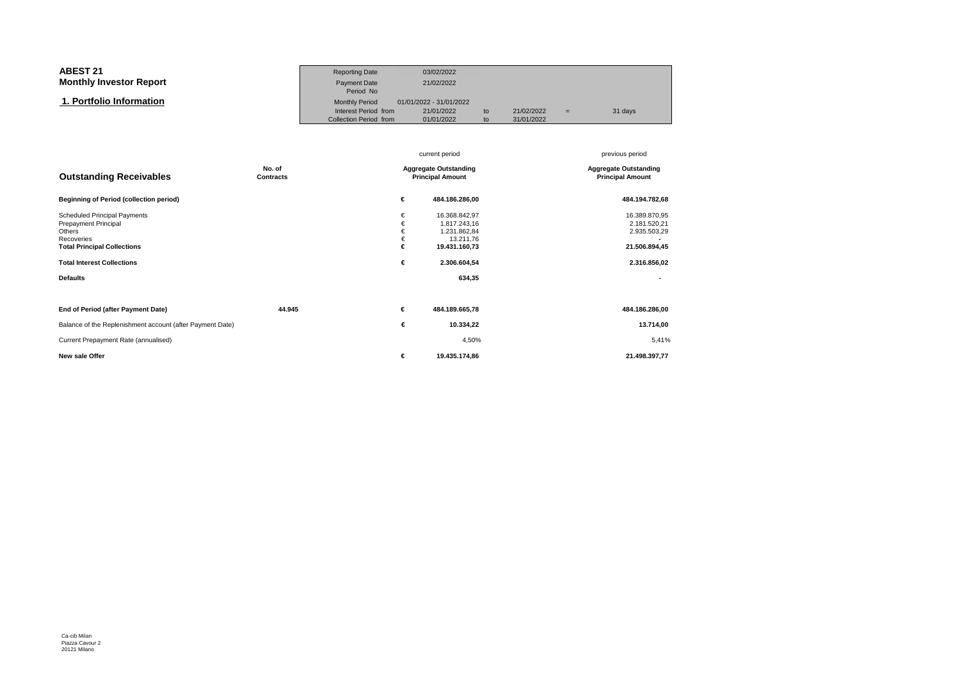| <b>ABEST 21</b>                | <b>Reporting Date</b>                          | 03/02/2022               |          |                          |     |         |
|--------------------------------|------------------------------------------------|--------------------------|----------|--------------------------|-----|---------|
| <b>Monthly Investor Report</b> | Payment Date<br>Period No                      | 21/02/2022               |          |                          |     |         |
| 1. Portfolio Information       | <b>Monthly Period</b>                          | 01/01/2022 - 31/01/2022  |          |                          |     |         |
|                                | Interest Period from<br>Collection Period from | 21/01/2022<br>01/01/2022 | to<br>to | 21/02/2022<br>31/01/2022 | $=$ | 31 days |

|                                                                                                                           |                     |                       | current period                                                              | previous period                                                |
|---------------------------------------------------------------------------------------------------------------------------|---------------------|-----------------------|-----------------------------------------------------------------------------|----------------------------------------------------------------|
| <b>Outstanding Receivables</b>                                                                                            | No. of<br>Contracts |                       | <b>Aggregate Outstanding</b><br><b>Principal Amount</b>                     | <b>Aggregate Outstanding</b><br><b>Principal Amount</b>        |
| <b>Beginning of Period (collection period)</b>                                                                            |                     | €                     | 484.186.286,00                                                              | 484.194.782,68                                                 |
| <b>Scheduled Principal Payments</b><br>Prepayment Principal<br>Others<br>Recoveries<br><b>Total Principal Collections</b> |                     | €<br>€<br>€<br>€<br>€ | 16.368.842,97<br>1.817.243,16<br>1.231.862,84<br>13.211,76<br>19.431.160,73 | 16.389.870,95<br>2.181.520,21<br>2.935.503,29<br>21.506.894,45 |
| <b>Total Interest Collections</b>                                                                                         |                     | €                     | 2.306.604,54                                                                | 2.316.856,02                                                   |
| <b>Defaults</b>                                                                                                           |                     |                       | 634,35                                                                      |                                                                |
| End of Period (after Payment Date)                                                                                        | 44.945              | €                     | 484.189.665,78                                                              | 484.186.286,00                                                 |
| Balance of the Replenishment account (after Payment Date)                                                                 |                     | €                     | 10.334,22                                                                   | 13.714,00                                                      |
| Current Prepayment Rate (annualised)                                                                                      |                     |                       | 4,50%                                                                       | 5,41%                                                          |
| New sale Offer                                                                                                            |                     | €                     | 19.435.174,86                                                               | 21.498.397,77                                                  |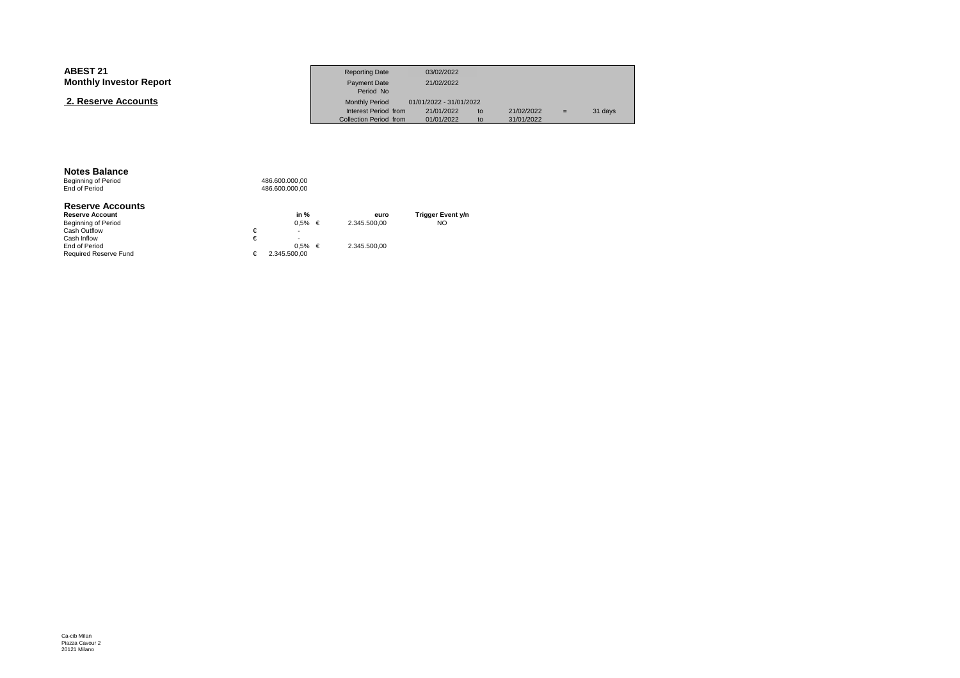| <b>Monthly Investor Report</b><br>21/02/2022<br>Payment Date                                                       |     |         |
|--------------------------------------------------------------------------------------------------------------------|-----|---------|
| Period No                                                                                                          |     |         |
| 2. Reserve Accounts<br>01/01/2022 - 31/01/2022<br><b>Monthly Period</b>                                            |     |         |
| Interest Period from<br>21/01/2022<br>21/02/2022<br>to<br>01/01/2022<br>Collection Period from<br>31/01/2022<br>to | $=$ | 31 days |

**Notes Balance**<br>Beginning of Period<br>End of Period

|   | in %                     | euro                    | Trigger Event y/n |
|---|--------------------------|-------------------------|-------------------|
|   |                          | 2.345.500.00            | NO                |
| € | $\overline{\phantom{a}}$ |                         |                   |
| € | $\overline{\phantom{a}}$ |                         |                   |
|   |                          | 2.345.500.00            |                   |
| € | 2.345.500.00             |                         |                   |
|   |                          | $0.5\% \in$<br>$0.5%$ € |                   |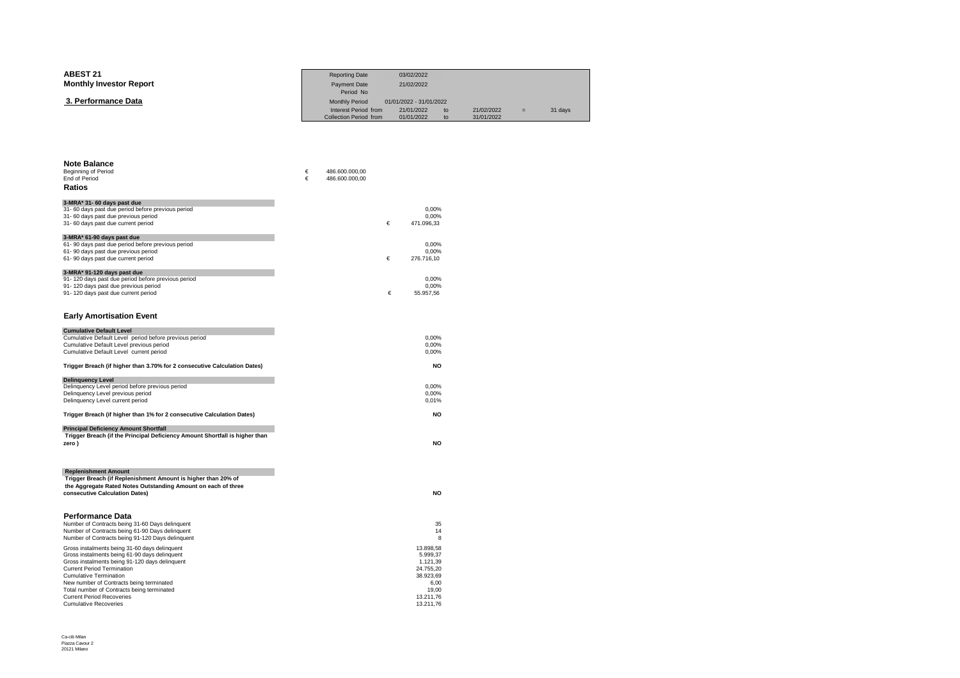| <b>ABEST 21</b>                | <b>Reporting Date</b>     | 03/02/2022              |    |            |     |         |
|--------------------------------|---------------------------|-------------------------|----|------------|-----|---------|
| <b>Monthly Investor Report</b> | Payment Date<br>Period No | 21/02/2022              |    |            |     |         |
| 3. Performance Data            | <b>Monthly Period</b>     | 01/01/2022 - 31/01/2022 |    |            |     |         |
|                                | Interest Period from      | 21/01/2022              | to | 21/02/2022 | $=$ | 31 days |
|                                | Collection Period from    | 01/01/2022              | to | 31/01/2022 |     |         |

| <b>Note Balance</b><br><b>Beginning of Period</b><br><b>End of Period</b><br>Ratios                                                                                                                                                                                                                                                                                                  | €<br>€ | 486.600.000,00<br>486.600.000,00 |   |                                                                                                        |
|--------------------------------------------------------------------------------------------------------------------------------------------------------------------------------------------------------------------------------------------------------------------------------------------------------------------------------------------------------------------------------------|--------|----------------------------------|---|--------------------------------------------------------------------------------------------------------|
| 3-MRA* 31- 60 days past due<br>31- 60 days past due period before previous period<br>31- 60 days past due previous period<br>31- 60 days past due current period                                                                                                                                                                                                                     |        |                                  | € | 0.00%<br>0,00%<br>471.096,33                                                                           |
| 3-MRA* 61-90 days past due<br>61-90 days past due period before previous period<br>61-90 days past due previous period<br>61-90 days past due current period                                                                                                                                                                                                                         |        |                                  | € | 0.00%<br>0.00%<br>276.716,10                                                                           |
| 3-MRA* 91-120 days past due<br>91-120 days past due period before previous period<br>91-120 days past due previous period<br>91-120 days past due current period                                                                                                                                                                                                                     |        |                                  | € | 0.00%<br>0,00%<br>55.957,56                                                                            |
| <b>Early Amortisation Event</b>                                                                                                                                                                                                                                                                                                                                                      |        |                                  |   |                                                                                                        |
| <b>Cumulative Default Level</b><br>Cumulative Default Level period before previous period<br>Cumulative Default Level previous period<br>Cumulative Default Level current period                                                                                                                                                                                                     |        |                                  |   | 0,00%<br>0,00%<br>0.00%                                                                                |
| Trigger Breach (if higher than 3.70% for 2 consecutive Calculation Dates)                                                                                                                                                                                                                                                                                                            |        |                                  |   | <b>NO</b>                                                                                              |
| <b>Delinquency Level</b><br>Delinquency Level period before previous period<br>Delinquency Level previous period<br>Delinquency Level current period                                                                                                                                                                                                                                 |        |                                  |   | 0.00%<br>0,00%<br>0,01%                                                                                |
| Trigger Breach (if higher than 1% for 2 consecutive Calculation Dates)                                                                                                                                                                                                                                                                                                               |        |                                  |   | <b>NO</b>                                                                                              |
| <b>Principal Deficiency Amount Shortfall</b><br>Trigger Breach (if the Principal Deficiency Amount Shortfall is higher than<br>zero)                                                                                                                                                                                                                                                 |        |                                  |   | <b>NO</b>                                                                                              |
| <b>Replenishment Amount</b><br>Trigger Breach (if Replenishment Amount is higher than 20% of<br>the Aggregate Rated Notes Outstanding Amount on each of three<br>consecutive Calculation Dates)                                                                                                                                                                                      |        |                                  |   | <b>NO</b>                                                                                              |
| <b>Performance Data</b><br>Number of Contracts being 31-60 Days delinquent<br>Number of Contracts being 61-90 Days delinquent<br>Number of Contracts being 91-120 Days delinquent                                                                                                                                                                                                    |        |                                  |   | 35<br>14<br>8                                                                                          |
| Gross instalments being 31-60 days delinquent<br>Gross instalments being 61-90 days delinquent<br>Gross instalments being 91-120 days delinquent<br><b>Current Period Termination</b><br><b>Cumulative Termination</b><br>New number of Contracts being terminated<br>Total number of Contracts being terminated<br><b>Current Period Recoveries</b><br><b>Cumulative Recoveries</b> |        |                                  |   | 13.898.58<br>5.999,37<br>1.121,39<br>24.755,20<br>38.923,69<br>6,00<br>19.00<br>13.211.76<br>13.211,76 |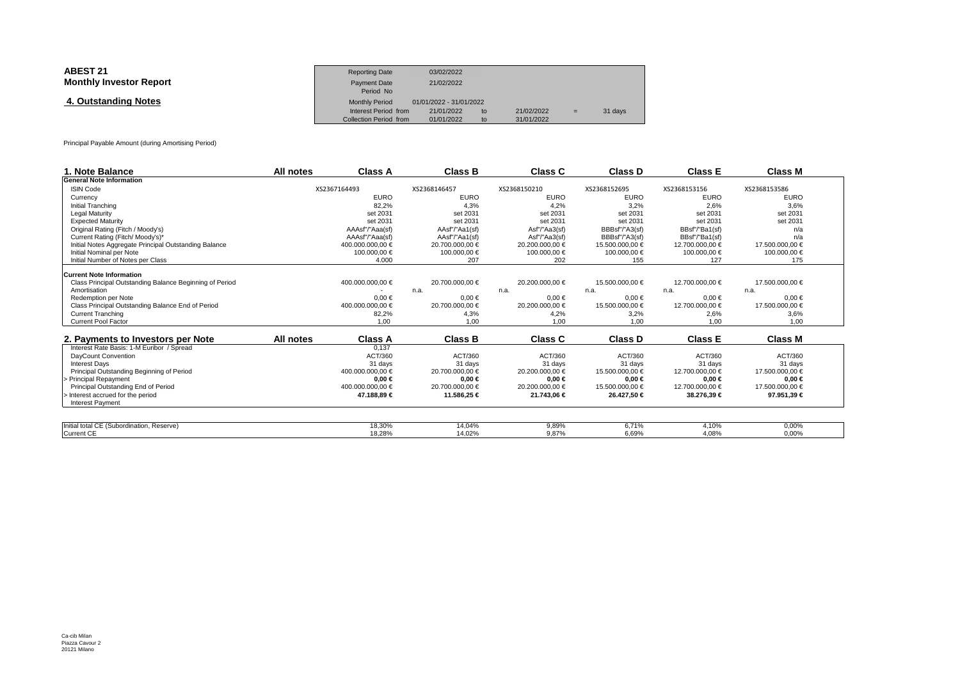| <b>ABEST 21</b><br><b>Monthly Investor Report</b> | <b>Reporting Date</b><br><b>Payment Date</b><br>Period No               | 03/02/2022<br>21/02/2022                            |          |                          |     |         |  |
|---------------------------------------------------|-------------------------------------------------------------------------|-----------------------------------------------------|----------|--------------------------|-----|---------|--|
| 4. Outstanding Notes                              | <b>Monthly Period</b><br>Interest Period from<br>Collection Period from | 01/01/2022 - 31/01/2022<br>21/01/2022<br>01/01/2022 | to<br>to | 21/02/2022<br>31/01/2022 | $=$ | 31 days |  |

Principal Payable Amount (during Amortising Period)

| 1. Note Balance                                         | All notes | <b>Class A</b>   | <b>Class B</b>  | Class C         | <b>Class D</b>  | <b>Class E</b>  | <b>Class M</b>  |  |
|---------------------------------------------------------|-----------|------------------|-----------------|-----------------|-----------------|-----------------|-----------------|--|
| <b>General Note Information</b>                         |           |                  |                 |                 |                 |                 |                 |  |
| <b>ISIN Code</b>                                        |           | XS2367164493     | XS2368146457    | XS2368150210    | XS2368152695    | XS2368153156    | XS2368153586    |  |
| Currency                                                |           | <b>EURO</b>      | <b>EURO</b>     | <b>EURO</b>     | <b>EURO</b>     | <b>EURO</b>     | <b>EURO</b>     |  |
| Initial Tranching                                       |           | 82.2%            | 4.3%            | 4.2%            | 3.2%            | 2.6%            | 3.6%            |  |
| <b>Legal Maturity</b>                                   |           | set 2031         | set 2031        | set 2031        | set 2031        | set 2031        | set 2031        |  |
| <b>Expected Maturity</b>                                |           | set 2031         | set 2031        | set 2031        | set 2031        | set 2031        | set 2031        |  |
| Original Rating (Fitch / Moody's)                       |           | AAAsf"/"Aaa(sf)  | AAsf"/"Aa1(sf)  | Asf"/"Aa3(sf)   | BBBsf"/"A3(sf)  | BBsf"/"Ba1(sf)  | n/a             |  |
| Current Rating (Fitch/ Moody's)*                        |           | AAAsf"/"Aaa(sf)  | AAsf"/"Aa1(sf)  | Asf"/"Aa3(sf)   | BBBsf"/"A3(sf)  | BBsf"/"Ba1(sf)  | n/a             |  |
| Initial Notes Aggregate Principal Outstanding Balance   |           | 400.000.000.00 € | 20.700.000.00 € | 20.200.000.00 € | 15.500.000.00 € | 12.700.000.00 € | 17.500.000.00 € |  |
| Initial Nominal per Note                                |           | 100.000.00 €     | 100.000,00 €    | 100.000,00 €    | 100.000,00 €    | 100.000,00 €    | 100.000,00 €    |  |
| Initial Number of Notes per Class                       |           | 4.000            | 207             | 202             | 155             | 127             | 175             |  |
| <b>Current Note Information</b>                         |           |                  |                 |                 |                 |                 |                 |  |
| Class Principal Outstanding Balance Beginning of Period |           | 400.000.000,00 € | 20.700.000,00 € | 20.200.000,00 € | 15.500.000,00 € | 12.700.000,00 € | 17.500.000,00 € |  |
| Amortisation                                            |           |                  | n.a.            | n.a.            | n.a.            | n.a.            | n.a.            |  |
| Redemption per Note                                     |           | $0.00 \in$       | $0.00 \in$      | $0,00 \in$      | $0.00 \in$      | $0.00 \in$      | $0.00 \in$      |  |
| Class Principal Outstanding Balance End of Period       |           | 400.000.000.00 € | 20.700.000,00 € | 20.200.000,00 € | 15.500.000,00 € | 12.700.000,00 € | 17.500.000,00 € |  |
| <b>Current Tranching</b>                                |           | 82,2%            | 4,3%            | 4,2%            | 3,2%            | 2,6%            | 3,6%            |  |
| <b>Current Pool Factor</b>                              |           | 1.00             | 1.00            | 1.00            | 1.00            | 1.00            | 1.00            |  |
|                                                         |           |                  |                 |                 |                 |                 |                 |  |
| 2. Payments to Investors per Note                       | All notes | <b>Class A</b>   | <b>Class B</b>  | Class C         | <b>Class D</b>  | <b>Class E</b>  | <b>Class M</b>  |  |
| Interest Rate Basis: 1-M Euribor / Spread               |           | 0,137            |                 |                 |                 |                 |                 |  |
| DayCount Convention                                     |           | ACT/360          | ACT/360         | ACT/360         | ACT/360         | ACT/360         | ACT/360         |  |
| <b>Interest Days</b>                                    |           | 31 days          | 31 days         | 31 days         | 31 days         | 31 days         | 31 days         |  |
| Principal Outstanding Beginning of Period               |           | 400.000.000,00 € | 20.700.000,00 € | 20.200.000,00 € | 15.500.000,00 € | 12.700.000,00 € | 17.500.000,00 € |  |
| Principal Repayment                                     |           | $0,00 \in$       | $0,00 \in$      | $0.00 \in$      | $0,00 \in$      | $0,00 \in$      | $0.00 \in$      |  |
| Principal Outstanding End of Period                     |           | 400.000.000.00 € | 20.700.000.00 € | 20.200.000.00 € | 15.500.000.00 € | 12.700.000.00 € | 17.500.000.00 € |  |
| Interest accrued for the period                         |           | 47.188.89 €      | 11.586,25 €     | 21.743,06 €     | 26.427.50 €     | 38.276,39 €     | 97.951,39 €     |  |
| <b>Interest Payment</b>                                 |           |                  |                 |                 |                 |                 |                 |  |
|                                                         |           |                  |                 |                 |                 |                 |                 |  |
| Initial total CE (Subordination, Reserve)               |           | 18,30%           | 14,04%          | 9,89%           | 6,71%           | 4,10%           | 0,00%           |  |
| <b>Current CE</b>                                       |           | 18.28%           | 14.02%          | 9.87%           | 6.69%           | 4.08%           | 0.00%           |  |

 $\frac{1}{14,02\%}$  14,02% 9,87% 6,69% 4,08% 0,00%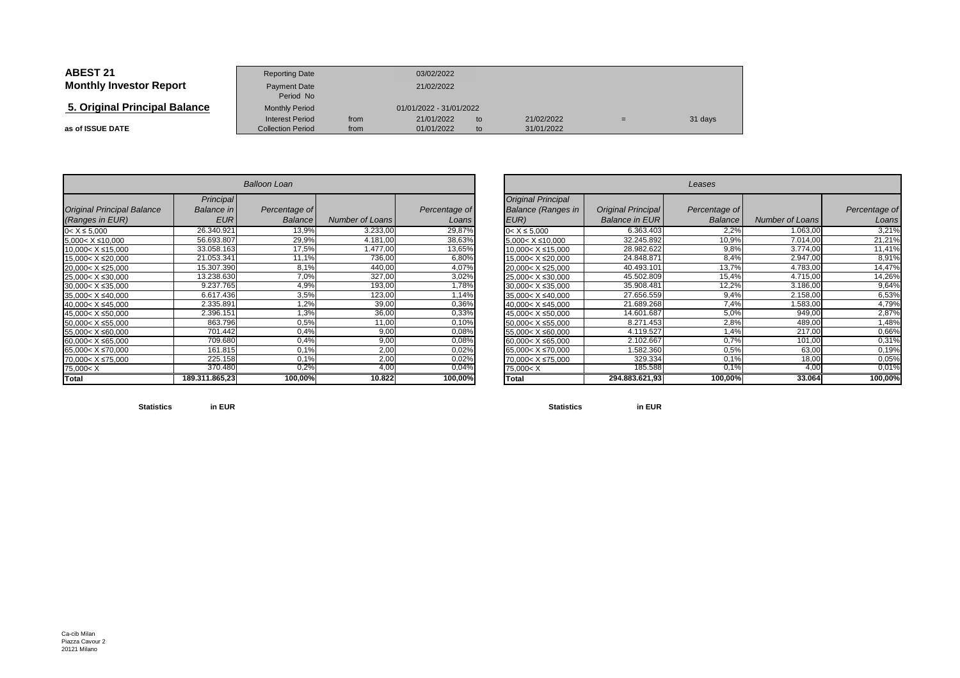| <b>ABEST 21</b>                | <b>Reporting Date</b>                              |              | 03/02/2022               |          |                          |     |         |
|--------------------------------|----------------------------------------------------|--------------|--------------------------|----------|--------------------------|-----|---------|
| <b>Monthly Investor Report</b> | <b>Payment Date</b><br>Period No                   | 21/02/2022   |                          |          |                          |     |         |
| 5. Original Principal Balance  | <b>Monthly Period</b>                              |              | 01/01/2022 - 31/01/2022  |          |                          |     |         |
| as of ISSUE DATE               | <b>Interest Period</b><br><b>Collection Period</b> | from<br>from | 21/01/2022<br>01/01/2022 | to<br>to | 21/02/2022<br>31/01/2022 | $=$ | 31 days |

| <b>Balloon Loan</b>                                                            |                   |                |                 |               |  |  |  |  |  |  |  |
|--------------------------------------------------------------------------------|-------------------|----------------|-----------------|---------------|--|--|--|--|--|--|--|
|                                                                                | Principal         |                |                 |               |  |  |  |  |  |  |  |
| <b>Original Principal Balance</b>                                              | <b>Balance</b> in | Percentage of  |                 | Percentage of |  |  |  |  |  |  |  |
| (Ranges in EUR)                                                                | <b>EUR</b>        | <b>Balance</b> | Number of Loans | Loans         |  |  |  |  |  |  |  |
| $0 < X \le 5,000$                                                              | 26.340.921        | 13,9%          | 3.233,00        | 29,87%        |  |  |  |  |  |  |  |
| $5,000 < X \le 10,000$                                                         | 56.693.807        | 29,9%          | 4.181,00        | 38,63%        |  |  |  |  |  |  |  |
| 10,000 < X ≤ 15,000                                                            | 33.058.163        | 17,5%          | 1.477,00        | 13,65%        |  |  |  |  |  |  |  |
| 15,000< X ≤20,000                                                              | 21.053.341        | 11,1%          | 736,00          | 6,80%         |  |  |  |  |  |  |  |
| 20,000< X ≤25,000                                                              | 15.307.390        | 8,1%           | 440,00          | 4,07%         |  |  |  |  |  |  |  |
| 25.000< X ≤30.000                                                              | 13.238.630        | 7,0%           | 327,00          | 3,02%         |  |  |  |  |  |  |  |
| 30,000< X ≤35,000                                                              | 9.237.765         | 4,9%           | 193,00          | 1,78%         |  |  |  |  |  |  |  |
| 35,000< X ≤40,000                                                              | 6.617.436         | 3,5%           | 123,00          | 1,14%         |  |  |  |  |  |  |  |
| 40,000< X ≤45,000                                                              | 2.335.891         | 1,2%           | 39,00           | 0,36%         |  |  |  |  |  |  |  |
| 45.000< X ≤50.000                                                              | 2.396.151         | 1,3%           | 36,00           | 0,33%         |  |  |  |  |  |  |  |
| 50,000< X ≤55,000                                                              | 863.796           | 0,5%           | 11,00           | 0,10%         |  |  |  |  |  |  |  |
| 55,000< X ≤60,000                                                              | 701.442           | 0,4%           | 9,00            | 0,08%         |  |  |  |  |  |  |  |
| 60,000< X ≤65,000                                                              | 709.680           | 0,4%           | 9,00            | 0,08%         |  |  |  |  |  |  |  |
| 65,000< X ≤70,000                                                              | 161.815           | 0,1%           | 2,00            | 0,02%         |  |  |  |  |  |  |  |
| 70,000< X ≤75,000                                                              | 225.158           | 0,1%           | 2,00            | 0,02%         |  |  |  |  |  |  |  |
| 75,000 <x< td=""><td>370.480</td><td>0,2%</td><td>4,00</td><td>0,04%</td></x<> | 370.480           | 0,2%           | 4,00            | 0,04%         |  |  |  |  |  |  |  |
| Total                                                                          | 189.311.865,23    | 100,00%        | 10.822          | 100,00%       |  |  |  |  |  |  |  |

| n       |                        |               |                                                                                | Leases                |                |                 |               |  |  |  |  |
|---------|------------------------|---------------|--------------------------------------------------------------------------------|-----------------------|----------------|-----------------|---------------|--|--|--|--|
| tage of |                        | Percentage of | <b>Original Principal</b><br><b>Balance (Ranges in</b>                         | Original Principal    | Percentage of  |                 | Percentage of |  |  |  |  |
| alance  | <b>Number of Loans</b> | Loans         | EUR)                                                                           | <b>Balance in EUR</b> | <b>Balance</b> | Number of Loans | Loans         |  |  |  |  |
| 13,9%   | 3.233,00               | 29,87%        | $0 < X \le 5,000$                                                              | 6.363.403             | 2,2%           | 1.063,00        | 3,21%         |  |  |  |  |
| 29,9%   | 4.181,00               | 38,63%        | $5,000 < X \le 10,000$                                                         | 32.245.892            | 10,9%          | 7.014,00        | 21,21%        |  |  |  |  |
| 17,5%   | 1.477,00               | 13,65%        | $10,000 < X \le 15,000$                                                        | 28.982.622            | 9,8%           | 3.774,00        | 11,41%        |  |  |  |  |
| 11,1%   | 736,00                 | 6,80%         | 15,000< X ≤20,000                                                              | 24.848.871            | 8,4%           | 2.947,00        | 8,91%         |  |  |  |  |
| 8,1%    | 440,00                 | 4,07%         | 20,000< X ≤25,000                                                              | 40.493.101            | 13,7%          | 4.783,00        | 14,47%        |  |  |  |  |
| 7,0%    | 327,00                 | 3,02%         | 25,000< X ≤30,000                                                              | 45.502.809            | 15,4%          | 4.715,00        | 14,26%        |  |  |  |  |
| 4,9%    | 193,00                 | 1,78%         | $30,000 < X \leq 35,000$                                                       | 35.908.481            | 12,2%          | 3.186,00        | 9,64%         |  |  |  |  |
| 3,5%    | 123,00                 | 1,14%         | $35,000 < X \leq 40,000$                                                       | 27.656.559            | 9,4%           | 2.158,00        | 6,53%         |  |  |  |  |
| 1,2%    | 39,00                  | 0,36%         | 40,000< X ≤45,000                                                              | 21.689.268            | 7,4%           | 1.583,00        | 4,79%         |  |  |  |  |
| 3%      | 36,00                  | 0,33%         | 45,000< X ≤50,000                                                              | 14.601.687            | 5,0%           | 949,00          | 2,87%         |  |  |  |  |
| 0.5%    | 11,00                  | 0,10%         | 50,000< X ≤55,000                                                              | 8.271.453             | 2,8%           | 489,00          | 1,48%         |  |  |  |  |
| 0,4%    | 9,00                   | 0,08%         | 55,000< X ≤60,000                                                              | 4.119.527             | 1,4%           | 217,00          | 0,66%         |  |  |  |  |
| 0,4%    | 9,00                   | 0,08%         | $60,000 < X \leq 65,000$                                                       | 2.102.667             | 0,7%           | 101,00          | 0,31%         |  |  |  |  |
| 0,1%    | 2,00                   | 0,02%         | 65,000< X ≤70,000                                                              | 1.582.360             | 0,5%           | 63,00           | 0,19%         |  |  |  |  |
| 0,1%    | 2,00                   | 0,02%         | 70,000< X ≤75,000                                                              | 329.334               | 0.1%           | 18,00           | 0,05%         |  |  |  |  |
| 0,2%    | 4,00                   | 0,04%         | 75,000 <x< td=""><td>185.588</td><td>0.1%</td><td>4,00</td><td>0,01%</td></x<> | 185.588               | 0.1%           | 4,00            | 0,01%         |  |  |  |  |
| 00,00%  | 10.822                 | 100,00%       | Total                                                                          | 294.883.621,93        | 100,00%        | 33.064          | 100,00%       |  |  |  |  |

**Statisticsin EUR**

**Statistics in EUR**

Ca-cib Milan Piazza Cavour 220121 Milano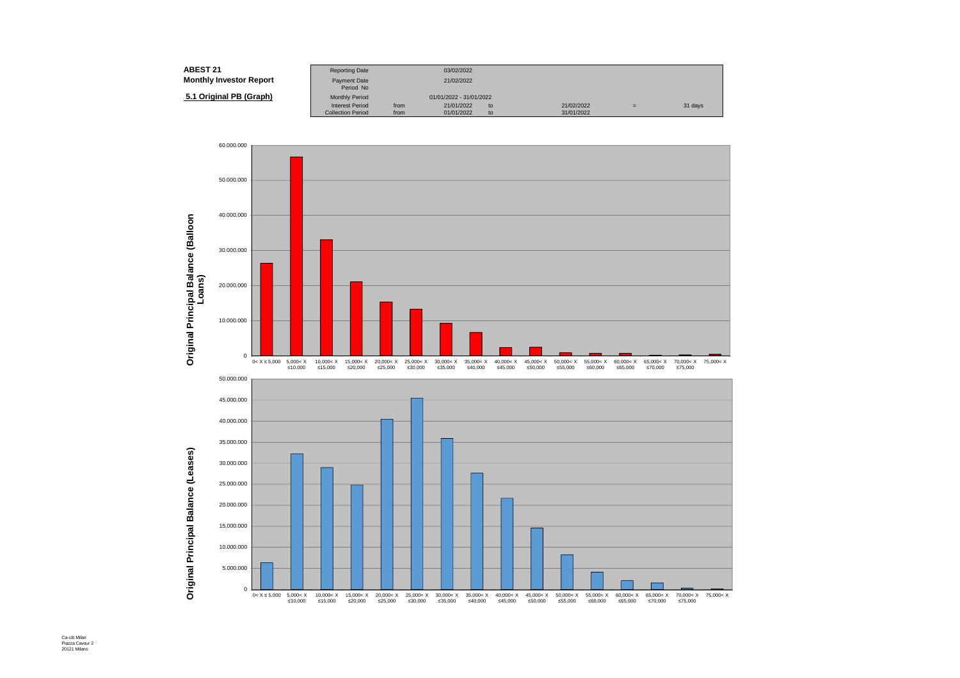| <b>ABEST 21</b>                | <b>Reporting Date</b>                              |              | 03/02/2022               |          |                          |     |         |
|--------------------------------|----------------------------------------------------|--------------|--------------------------|----------|--------------------------|-----|---------|
| <b>Monthly Investor Report</b> | Payment Date<br>Period No                          |              | 21/02/2022               |          |                          |     |         |
| 5.1 Original PB (Graph)        | <b>Monthly Period</b>                              |              | 01/01/2022 - 31/01/2022  |          |                          |     |         |
|                                | <b>Interest Period</b><br><b>Collection Period</b> | from<br>from | 21/01/2022<br>01/01/2022 | to<br>to | 21/02/2022<br>31/01/2022 | $=$ | 31 days |



Ca-cib Milan Piazza Cavour 2 20121 Milano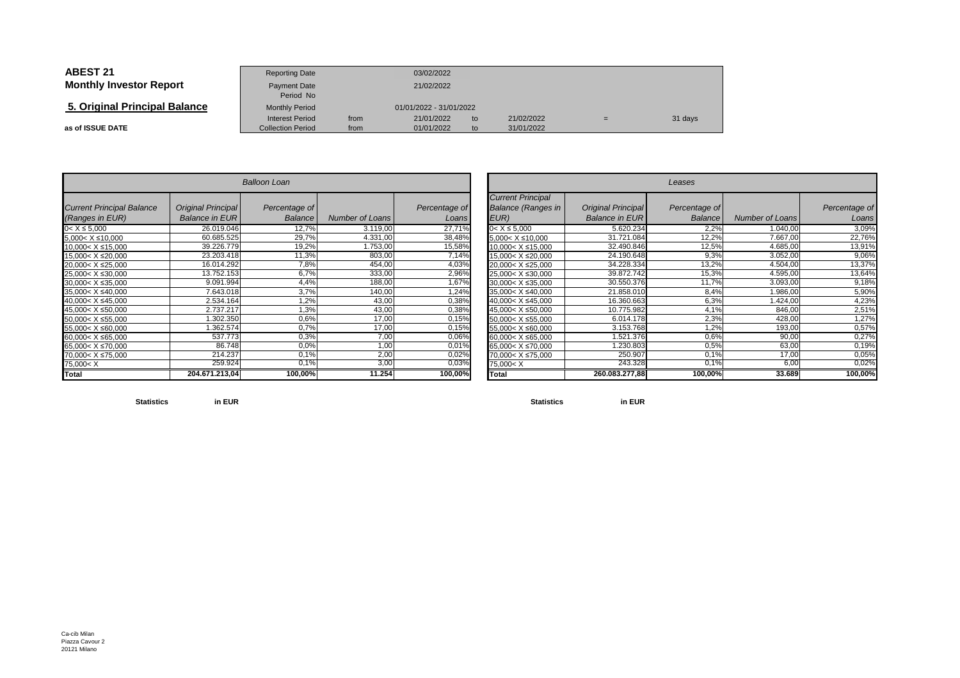| <b>ABEST 21</b>                | <b>Reporting Date</b>                              |              | 03/02/2022               |          |                          |     |         |
|--------------------------------|----------------------------------------------------|--------------|--------------------------|----------|--------------------------|-----|---------|
| <b>Monthly Investor Report</b> | Payment Date<br>Period No                          |              | 21/02/2022               |          |                          |     |         |
| 5. Original Principal Balance  | <b>Monthly Period</b>                              |              | 01/01/2022 - 31/01/2022  |          |                          |     |         |
| as of ISSUE DATE               | <b>Interest Period</b><br><b>Collection Period</b> | from<br>from | 21/01/2022<br>01/01/2022 | to<br>to | 21/02/2022<br>31/01/2022 | $=$ | 31 days |

|                                                                                |                       | Balloon Loan   |                        |               |
|--------------------------------------------------------------------------------|-----------------------|----------------|------------------------|---------------|
| <b>Current Principal Balance</b>                                               | Original Principal    | Percentage of  |                        | Percentage of |
| (Ranges in EUR)                                                                | <b>Balance in EUR</b> | <b>Balance</b> | <b>Number of Loans</b> | Loans         |
| $0 < X \le 5,000$                                                              | 26.019.046            | 12,7%          | 3.119,00               | 27,71%        |
| $5.000 < X \le 10.000$                                                         | 60.685.525            | 29,7%          | 4.331,00               | 38,48%        |
| 10,000< X ≤15,000                                                              | 39.226.779            | 19,2%          | 1.753,00               | 15,58%        |
| 15,000< X ≤20,000                                                              | 23.203.418            | 11,3%          | 803,00                 | 7,14%         |
| 20.000< X ≤25.000                                                              | 16.014.292            | 7,8%           | 454,00                 | 4,03%         |
| 25,000< X ≤30,000                                                              | 13.752.153            | 6,7%           | 333,00                 | 2,96%         |
| 30,000< X ≤35,000                                                              | 9.091.994             | 4,4%           | 188,00                 | 1,67%         |
| 35,000< X ≤40,000                                                              | 7.643.018             | 3,7%           | 140,00                 | 1,24%         |
| 40,000< X ≤45,000                                                              | 2.534.164             | 1,2%           | 43,00                  | 0,38%         |
| 45,000< X ≤50,000                                                              | 2.737.217             | 1,3%           | 43,00                  | 0,38%         |
| 50.000< X ≤55.000                                                              | 1.302.350             | 0,6%           | 17,00                  | 0,15%         |
| 55,000< X ≤60,000                                                              | 1.362.574             | 0.7%           | 17,00                  | 0,15%         |
| 60,000< X ≤65,000                                                              | 537.773               | 0.3%           | 7,00                   | 0,06%         |
| $65,000 < X \le 70,000$                                                        | 86.748                | 0.0%           | 1,00                   | 0,01%         |
| 70.000< X ≤75.000                                                              | 214.237               | 0,1%           | 2,00                   | 0,02%         |
| 75,000 <x< td=""><td>259.924</td><td>0,1%</td><td>3,00</td><td>0,03%</td></x<> | 259.924               | 0,1%           | 3,00                   | 0,03%         |
| <b>Total</b>                                                                   | 204.671.213.04        | 100,00%        | 11.254                 | 100,00%       |

|                       |                        |                        |                                                                                |                                                    | Leases                          |                        |                        |
|-----------------------|------------------------|------------------------|--------------------------------------------------------------------------------|----------------------------------------------------|---------------------------------|------------------------|------------------------|
| ntage of l<br>Balance | <b>Number of Loans</b> | Percentage of<br>Loans | <b>Current Principal</b><br><b>Balance (Ranges in</b><br>EUR)                  | <b>Original Principal</b><br><b>Balance in EUR</b> | Percentage of<br><b>Balance</b> | <b>Number of Loans</b> | Percentage of<br>Loans |
| 12,7%                 | 3.119,00               | 27,71%                 | $0 < X \le 5,000$                                                              | 5.620.234                                          | 2,2%                            | 1.040,00               | 3,09%                  |
| 29,7%                 | 4.331,00               | 38,48%                 | $5,000 < X \le 10,000$                                                         | 31.721.084                                         | 12,2%                           | 7.667,00               | 22,76%                 |
| 19,2%                 | 1.753,00               | 15,58%                 | 10,000< X ≤15,000                                                              | 32.490.846                                         | 12,5%                           | 4.685,00               | 13,91%                 |
| 11,3%                 | 803,00                 | 7,14%                  | 15,000< X ≤20,000                                                              | 24.190.648                                         | 9,3%                            | 3.052,00               | 9,06%                  |
| 7,8%                  | 454,00                 | 4,03%                  | 20,000< X ≤25,000                                                              | 34.228.334                                         | 13,2%                           | 4.504,00               | 13,37%                 |
| 6,7%                  | 333,00                 | 2,96%                  | $25,000 < X \leq 30,000$                                                       | 39.872.742                                         | 15,3%                           | 4.595,00               | 13,64%                 |
| 4,4%                  | 188,00                 | 1,67%                  | 30,000< X ≤35,000                                                              | 30.550.376                                         | 11,7%                           | 3.093,00               | 9,18%                  |
| 3,7%                  | 140,00                 | ,24%                   | 35,000< X ≤40,000                                                              | 21.858.010                                         | 8,4%                            | .986,00                | 5,90%                  |
| 1,2%                  | 43,00                  | 0,38%                  | 40,000< X ≤45,000                                                              | 16.360.663                                         | 6,3%                            | 1.424,00               | 4,23%                  |
| 1,3%                  | 43,00                  | 0,38%                  | 45,000< X ≤50,000                                                              | 10.775.982                                         | 4,1%                            | 846,00                 | 2,51%                  |
| 0.6%                  | 17,00                  | 0,15%                  | 50,000< X ≤55,000                                                              | 6.014.178                                          | 2,3%                            | 428,00                 | 1,27%                  |
| 0,7%                  | 17,00                  | 0,15%                  | 55,000< X ≤60,000                                                              | 3.153.768                                          | 1,2%                            | 193,00                 | 0,57%                  |
| 0,3%                  | 7,00                   | 0,06%                  | 60,000< X ≤65,000                                                              | 1.521.376                                          | 0,6%                            | 90,00                  | 0,27%                  |
| 0.0%                  | 1,00                   | 0,01%                  | 65,000< X ≤70,000                                                              | .230.803                                           | 0.5%                            | 63,00                  | 0,19%                  |
| 0,1%                  | 2,00                   | 0,02%                  | 70,000< X ≤75,000                                                              | 250.907                                            | 0.1%                            | 17,00                  | 0,05%                  |
| 0,1%                  | 3,00                   | 0,03%                  | 75,000 <x< td=""><td>243.328</td><td>0.1%</td><td>6,00</td><td>0,02%</td></x<> | 243.328                                            | 0.1%                            | 6,00                   | 0,02%                  |
| 100,00%               | 11.254                 | 100,00%                | Total                                                                          | 260.083.277,88                                     | 100,00%                         | 33.689                 | 100,00%                |

**Statistics**

**in EUR**

**Statistics in EUR**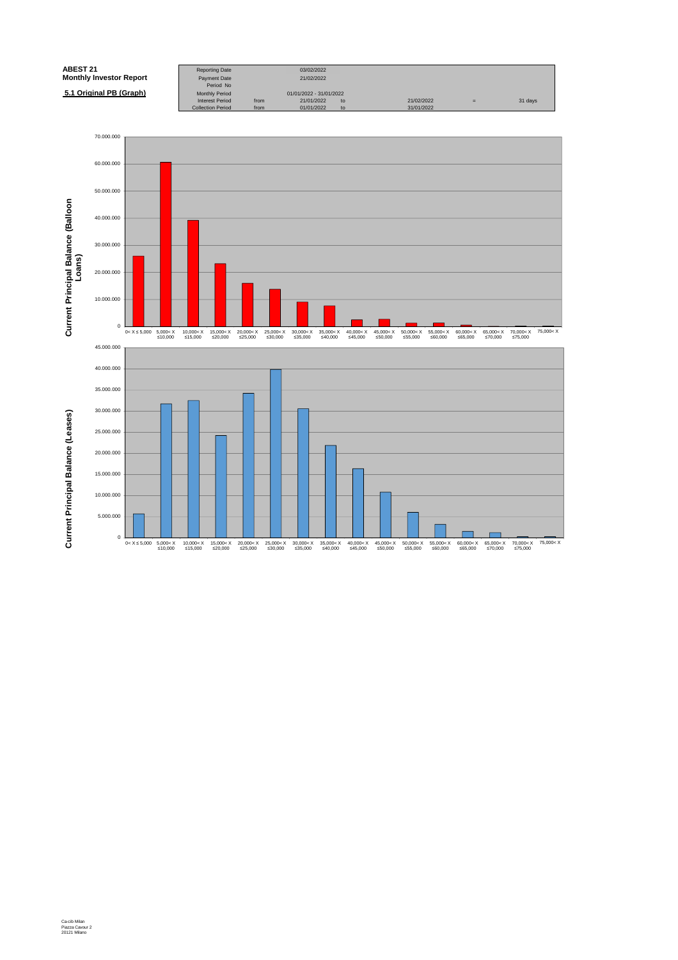| <b>ABEST 21</b>                | <b>Reporting Date</b>                              |              | 03/02/2022               |          |                          |     |         |
|--------------------------------|----------------------------------------------------|--------------|--------------------------|----------|--------------------------|-----|---------|
| <b>Monthly Investor Report</b> | <b>Payment Date</b><br>Period No                   |              | 21/02/2022               |          |                          |     |         |
| 5.1 Original PB (Graph)        | <b>Monthly Period</b>                              |              | 01/01/2022 - 31/01/2022  |          |                          |     |         |
|                                | <b>Interest Period</b><br><b>Collection Period</b> | from<br>from | 21/01/2022<br>01/01/2022 | to<br>to | 21/02/2022<br>31/01/2022 | $=$ | 31 days |

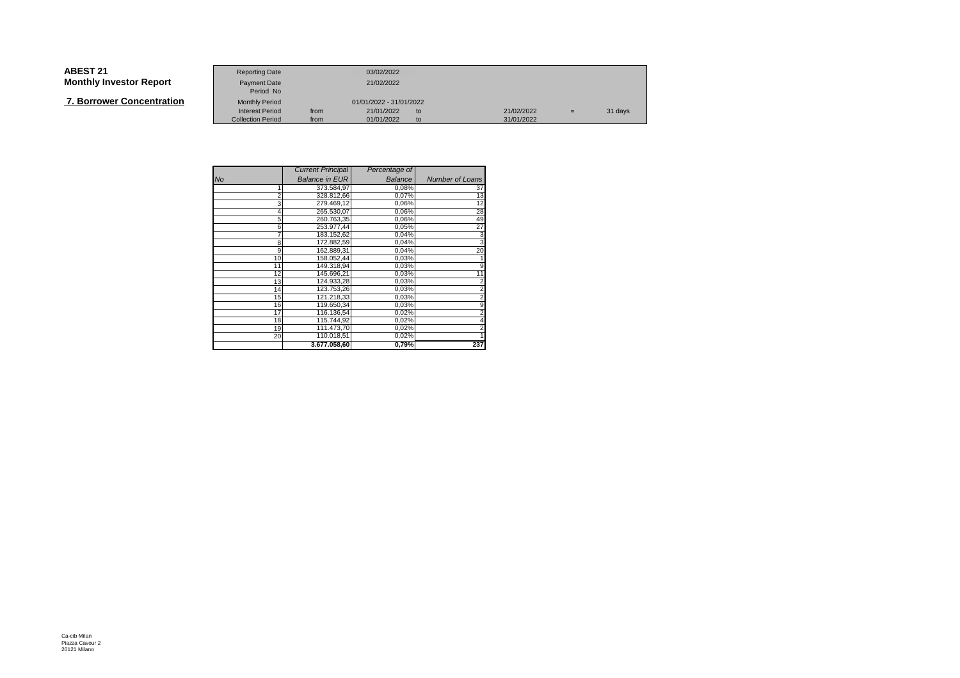# **ABEST 21**

|  | <b>7. Borrower Concentration</b> |
|--|----------------------------------|
|--|----------------------------------|

| ABEST 21                         | <b>Reporting Date</b>                              |              | 03/02/2022                           |                          |     |         |
|----------------------------------|----------------------------------------------------|--------------|--------------------------------------|--------------------------|-----|---------|
| Monthly Investor Report          | <b>Payment Date</b><br>Period No                   |              | 21/02/2022                           |                          |     |         |
| <b>7. Borrower Concentration</b> | <b>Monthly Period</b>                              |              | 01/01/2022 - 31/01/2022              |                          |     |         |
|                                  | <b>Interest Period</b><br><b>Collection Period</b> | from<br>from | 21/01/2022<br>to<br>01/01/2022<br>to | 21/02/2022<br>31/01/2022 | $=$ | 31 days |

|                | <b>Current Principal</b> | Percentage of |                        |
|----------------|--------------------------|---------------|------------------------|
| <b>No</b>      | <b>Balance in EUR</b>    | Balance       | <b>Number of Loans</b> |
| 1              | 373.584,97               | 0,08%         | 37                     |
| $\overline{2}$ | 328.812,66               | 0,07%         | 13                     |
| 3              | 279.469.12               | 0,06%         | 12                     |
| 4              | 265.530,07               | 0,06%         | 28                     |
| 5              | 260.763.35               | 0,06%         | 49                     |
| 6              | 253.977,44               | 0,05%         | 27                     |
| 7              | 183.152,62               | 0,04%         | 3                      |
| 8              | 172.882,59               | 0,04%         | з                      |
| 9              | 162.889,31               | 0,04%         | 20                     |
| 10             | 158.052.44               | 0,03%         |                        |
| 11             | 149.318.94               | 0,03%         | 9                      |
| 12             | 145.696,21               | 0,03%         | 11                     |
| 13             | 124.933,28               | 0,03%         | $\overline{2}$         |
| 14             | 123.753,26               | 0,03%         | 2                      |
| 15             | 121.218,33               | 0,03%         | 2                      |
| 16             | 119.650,34               | 0,03%         | 9                      |
| 17             | 116.136,54               | 0,02%         | 2                      |
| 18             | 115.744,92               | 0,02%         | 4                      |
| 19             | 111.473,70               | 0,02%         | 2                      |
| 20             | 110.018,51               | 0,02%         |                        |
|                | 3.677.058,60             | 0,79%         | 237                    |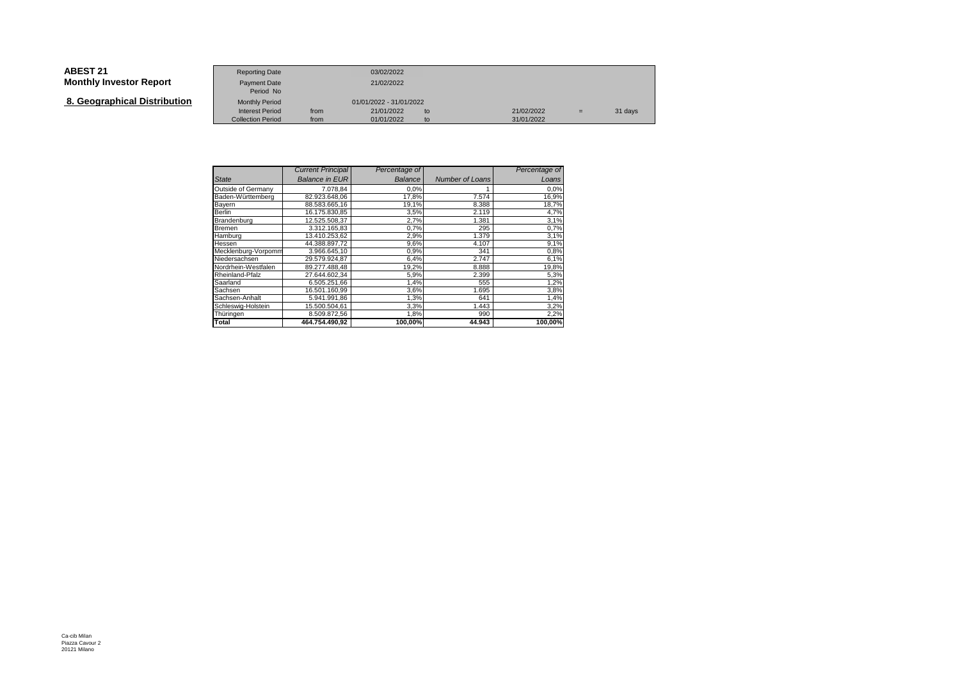| <b>ABEST 21</b><br><b>Monthly Investor Report</b> | <b>Reporting Date</b><br>Payment Date              |              | 03/02/2022<br>21/02/2022 |          |                          |     |         |
|---------------------------------------------------|----------------------------------------------------|--------------|--------------------------|----------|--------------------------|-----|---------|
| 8. Geographical Distribution                      | Period No<br><b>Monthly Period</b>                 |              | 01/01/2022 - 31/01/2022  |          |                          |     |         |
|                                                   | <b>Interest Period</b><br><b>Collection Period</b> | from<br>from | 21/01/2022<br>01/01/2022 | to<br>to | 21/02/2022<br>31/01/2022 | $=$ | 31 days |

|                     | <b>Current Principal</b> | Percentage of |                        | Percentage of |
|---------------------|--------------------------|---------------|------------------------|---------------|
| <b>State</b>        | <b>Balance in EUR</b>    | Balance       | <b>Number of Loans</b> | Loans         |
| Outside of Germany  | 7.078.84                 | 0,0%          |                        | 0,0%          |
| Baden-Württemberg   | 82.923.648,06            | 17,8%         | 7.574                  | 16,9%         |
| Bayern              | 88.583.665.16            | 19,1%         | 8.388                  | 18,7%         |
| Berlin              | 16.175.830.85            | 3,5%          | 2.119                  | 4,7%          |
| Brandenburg         | 12.525.508.37            | 2,7%          | 1.381                  | 3,1%          |
| Bremen              | 3.312.165,83             | 0,7%          | 295                    | 0,7%          |
| Hamburg             | 13.410.253,62            | 2,9%          | 1.379                  | 3,1%          |
| Hessen              | 44.388.897.72            | 9,6%          | 4.107                  | 9,1%          |
| Mecklenburg-Vorpomm | 3.966.645.10             | 0,9%          | 341                    | 0,8%          |
| Niedersachsen       | 29.579.924.87            | 6,4%          | 2.747                  | 6,1%          |
| Nordrhein-Westfalen | 89.277.488.48            | 19,2%         | 8.888                  | 19,8%         |
| Rheinland-Pfalz     | 27.644.602.34            | 5,9%          | 2.399                  | 5,3%          |
| Saarland            | 6.505.251.66             | 1,4%          | 555                    | 1,2%          |
| Sachsen             | 16.501.160,99            | 3,6%          | 1.695                  | 3,8%          |
| Sachsen-Anhalt      | 5.941.991.86             | 1,3%          | 641                    | 1,4%          |
| Schleswig-Holstein  | 15.500.504.61            | 3,3%          | 1.443                  | 3,2%          |
| Thüringen           | 8.509.872,56             | 1,8%          | 990                    | 2,2%          |
| Total               | 464.754.490.92           | 100.00%       | 44.943                 | 100.00%       |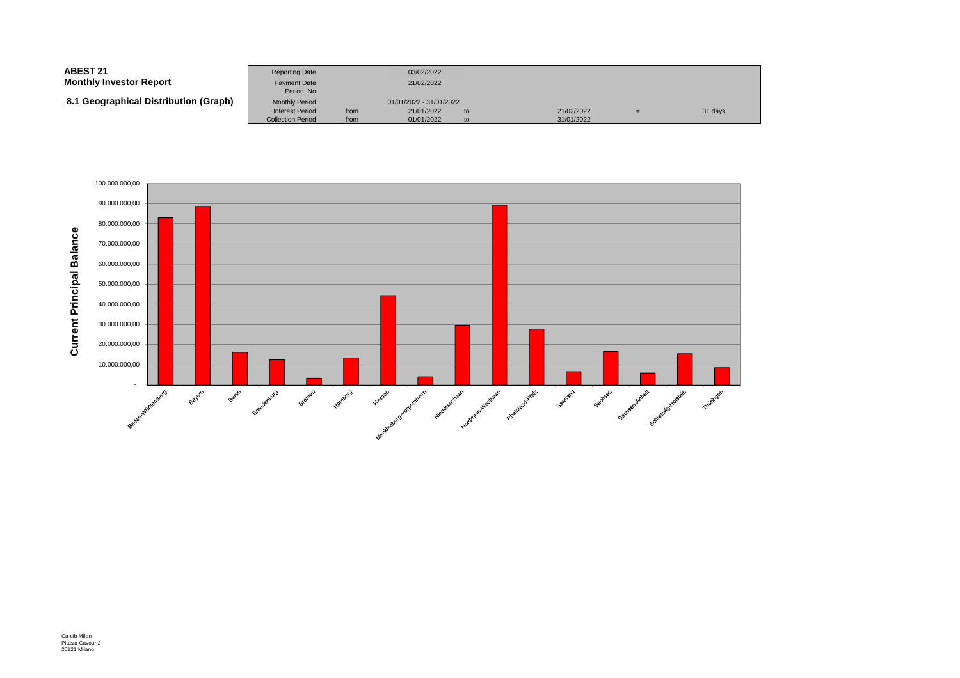| <b>ABEST 21</b><br><b>Monthly Investor Report</b> | <b>Reporting Date</b><br><b>Payment Date</b>       |              | 03/02/2022<br>21/02/2022 |          |                          |     |         |
|---------------------------------------------------|----------------------------------------------------|--------------|--------------------------|----------|--------------------------|-----|---------|
| 8.1 Geographical Distribution (Graph)             | Period No<br><b>Monthly Period</b>                 |              | 01/01/2022 - 31/01/2022  |          |                          |     |         |
|                                                   | <b>Interest Period</b><br><b>Collection Period</b> | from<br>from | 21/01/2022<br>01/01/2022 | to<br>to | 21/02/2022<br>31/01/2022 | $=$ | 31 days |

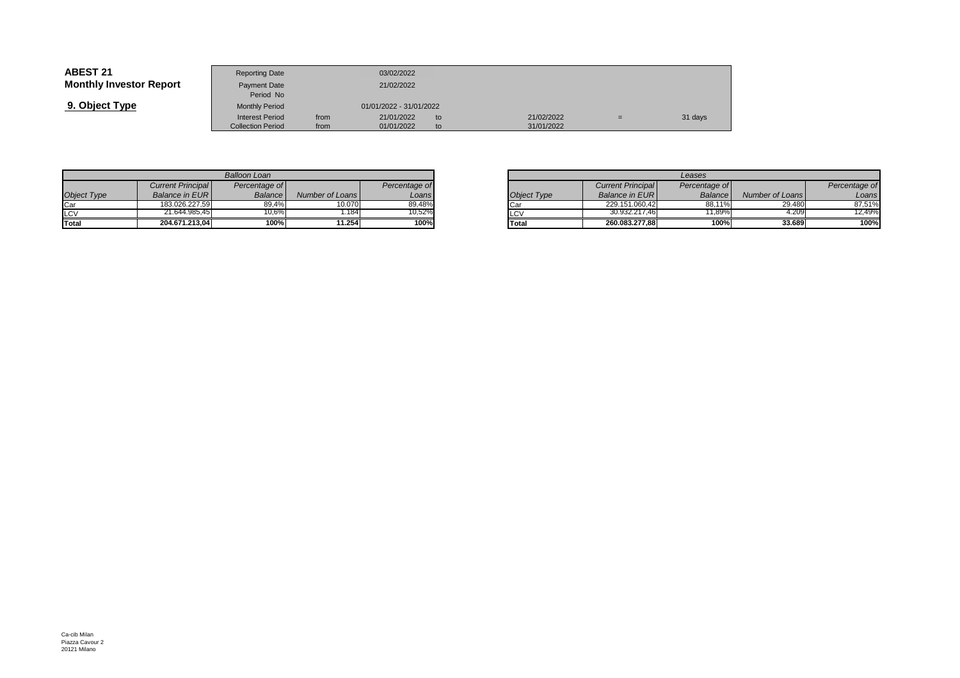| <b>ABEST 21</b>                | <b>Reporting Date</b>     |      | 03/02/2022              |    |            |     |         |
|--------------------------------|---------------------------|------|-------------------------|----|------------|-----|---------|
| <b>Monthly Investor Report</b> | Payment Date<br>Period No |      | 21/02/2022              |    |            |     |         |
| 9. Object Type                 | <b>Monthly Period</b>     |      | 01/01/2022 - 31/01/2022 |    |            |     |         |
|                                | <b>Interest Period</b>    | from | 21/01/2022              | to | 21/02/2022 | $=$ | 31 days |
|                                | <b>Collection Period</b>  | from | 01/01/2022              | to | 31/01/2022 |     |         |

|                    | <b>Balloon Loan</b>      |               |                 |               |  |  |  |  |  |  |  |
|--------------------|--------------------------|---------------|-----------------|---------------|--|--|--|--|--|--|--|
|                    | <b>Current Principal</b> | Percentage of |                 | Percentage of |  |  |  |  |  |  |  |
| <b>Object Type</b> | <b>Balance in EURI</b>   | Balance       | Number of Loans | Loans         |  |  |  |  |  |  |  |
| Car                | 183.026.227.59           | 89.4%         | 10.070          | 89.48%        |  |  |  |  |  |  |  |
| <b>LCV</b>         | 21.644.985.45            | 10.6%         | 1.184           | 10.52%        |  |  |  |  |  |  |  |
| <b>Total</b>       | 204.671.213,04           | 100%          | 11.254          | 100%          |  |  |  |  |  |  |  |

|         |                 |               |             | Leases                   |                |                 |  |  |  |  |
|---------|-----------------|---------------|-------------|--------------------------|----------------|-----------------|--|--|--|--|
| ae ofl  |                 | Percentage of |             | <b>Current Principal</b> | Percentage of  |                 |  |  |  |  |
| ance    | Number of Loans | Loans!        | Object Type | <b>Balance in EURI</b>   | <b>Balance</b> | Number of Loans |  |  |  |  |
| 39,4%   | 10.070          | 89.48%        | <b>Car</b>  | 229.151.060.42           | 88.11%         | 29.480          |  |  |  |  |
| $0.6\%$ | .184            | 10,52%        | LCV         | 30.932.217.46            | 11.89%         | 4.209           |  |  |  |  |
| 100%    | 11.254          | 100%          | Total       | 260.083.277.88           | 100%           | 33.689          |  |  |  |  |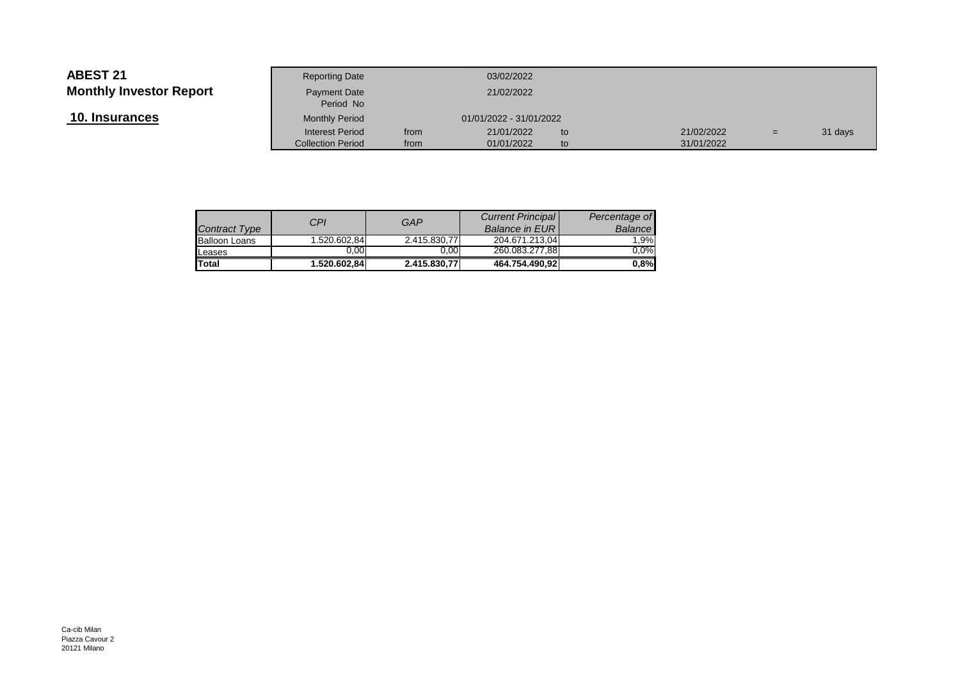| 10. Insurances |  |
|----------------|--|
|----------------|--|

|                 | <b>Reporting Date</b>                              |              | 03/02/2022               |            |                          |     |         |
|-----------------|----------------------------------------------------|--------------|--------------------------|------------|--------------------------|-----|---------|
| Investor Report | Payment Date<br>Period No                          |              | 21/02/2022               |            |                          |     |         |
| <u>rances</u>   | <b>Monthly Period</b>                              |              | 01/01/2022 - 31/01/2022  |            |                          |     |         |
|                 | <b>Interest Period</b><br><b>Collection Period</b> | from<br>from | 21/01/2022<br>01/01/2022 | to.<br>to. | 21/02/2022<br>31/01/2022 | $=$ | 31 days |
|                 |                                                    |              |                          |            |                          |     |         |

| <b>Contract Type</b> | <b>CPI</b>   | GAP          | <b>Current Principal</b><br><b>Balance in EURI</b> | Percentage of<br><b>Balance</b> |
|----------------------|--------------|--------------|----------------------------------------------------|---------------------------------|
| <b>Balloon Loans</b> | 1.520.602.84 | 2.415.830.77 | 204.671.213,04                                     | 1.9%                            |
| Leases               | 0.00         | 0.00         | 260.083.277,88                                     | $0.0\%$                         |
| <b>Total</b>         | 1.520.602.84 | 2.415.830,77 | 464.754.490.92                                     | 0,8%                            |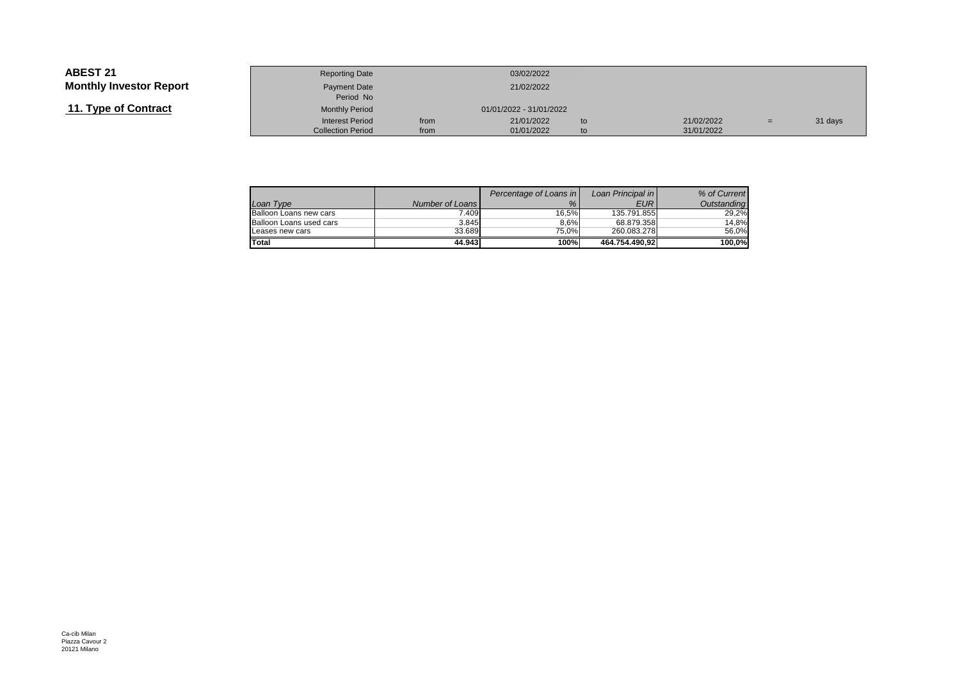| 11. Type of Contract |  |
|----------------------|--|
|----------------------|--|

|                 | <b>Reporting Date</b>     |      | 03/02/2022              |     |            |     |         |
|-----------------|---------------------------|------|-------------------------|-----|------------|-----|---------|
| Investor Report | Payment Date<br>Period No |      | 21/02/2022              |     |            |     |         |
| of Contract     | <b>Monthly Period</b>     |      | 01/01/2022 - 31/01/2022 |     |            |     |         |
|                 | <b>Interest Period</b>    | from | 21/01/2022              | to  | 21/02/2022 | $=$ | 31 days |
|                 | <b>Collection Period</b>  | from | 01/01/2022              | to. | 31/01/2022 |     |         |

|                         |                 | Percentage of Loans in | Loan Principal in | % of Current |
|-------------------------|-----------------|------------------------|-------------------|--------------|
| Loan Type               | Number of Loans | $\%$                   | <b>EUR</b>        | Outstanding  |
| Balloon Loans new cars  | 7.409           | 16.5%                  | 135.791.855       | 29.2%        |
| Balloon Loans used cars | 3.845           | 8.6%                   | 68.879.358        | 14.8%        |
| Leases new cars         | 33.689          | 75.0%                  | 260.083.278       | 56.0%        |
| Total                   | 44.943          | 100%                   | 464.754.490.92    | 100.0%       |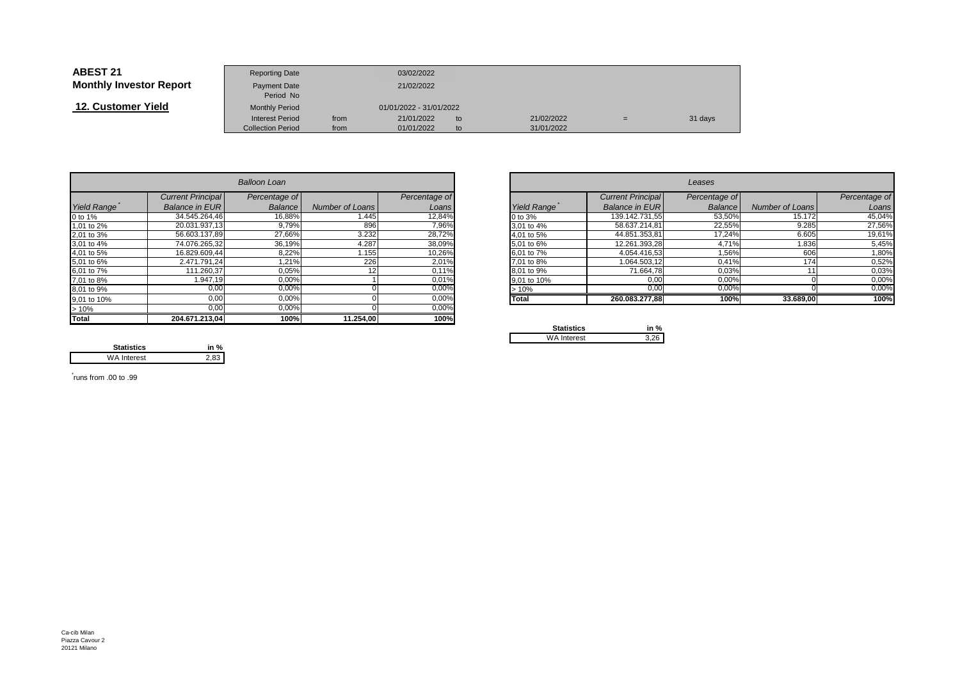| <b>ABEST 21</b>                | <b>Reporting Date</b>     |      | 03/02/2022              |    |            |     |         |
|--------------------------------|---------------------------|------|-------------------------|----|------------|-----|---------|
| <b>Monthly Investor Report</b> | Payment Date<br>Period No |      | 21/02/2022              |    |            |     |         |
| 12. Customer Yield             | <b>Monthly Period</b>     |      | 01/01/2022 - 31/01/2022 |    |            |     |         |
|                                | Interest Period           | from | 21/01/2022              | to | 21/02/2022 | $=$ | 31 days |
|                                | <b>Collection Period</b>  | from | 01/01/2022              | to | 31/01/2022 |     |         |

|                              |                          | <b>Balloon Loan</b> |                 |               |             |                          | Leases        |                 |               |
|------------------------------|--------------------------|---------------------|-----------------|---------------|-------------|--------------------------|---------------|-----------------|---------------|
|                              | <b>Current Principal</b> | Percentage of       |                 | Percentage of |             | <b>Current Principal</b> | Percentage of |                 | Percentage of |
| Yield Range                  | <b>Balance in EURI</b>   | Balance             | Number of Loans | Loans         | Yield Range | <b>Balance in EUR</b>    | Balance       | Number of Loans | Loans         |
| 0 to 1%                      | 34.545.264,46            | 16,88%              | l.445           | 12,84%        | 0 to 3%     | 139.142.731.55           | 53,50%        | 15.172          | 45,04%        |
| 1,01 to 2%                   | 20.031.937,13            | 9,79%               | 896             | 7,96%         | 3,01 to 4%  | 58.637.214,81            | 22,55%        | 9.285           | 27,56%        |
| 2,01 to 3%                   | 56.603.137,89            | 27,66%              | 3.232           | 28,72%        | 4,01 to 5%  | 44.851.353.81            | 17,24%        | 6.605           | 19,61%        |
| 3,01 to 4%                   | 74.076.265,32            | 36,19%              | 4.287           | 38,09%        | 5,01 to 6%  | 12.261.393,28            | 4,71%         | 1.836           | 5,45%         |
| 4,01 to 5%                   | 16.829.609,44            | 8,22%               | l.155           | 10,26%        | 6,01 to 7%  | 4.054.416,53             | 1,56%         | 606             | 1,80%         |
| 5,01 to 6%                   | 2.471.791.24             | 1,21%               | 226             | 2,01%         | 7,01 to 8%  | 1.064.503,12             | 0,41%         | 174             | 0,52%         |
| 6,01 to 7%                   | 111.260,37               | 0,05%               |                 | 0,11%         | 8,01 to 9%  | 71.664,78                | 0,03%         |                 | 0,03%         |
| 7,01 to 8%                   | 1.947,19                 | 0,00%               |                 | 0,01%         | 9,01 to 10% | 0,00                     | 0,00%         |                 | 0,00%         |
| 8,01 to 9%                   | 0,00                     | 0,00%               |                 | 0,00%         | >10%        | 0,00                     | 0,00%         |                 | 0,00%         |
| 9,01 to 10%                  | 0,00                     | 0,00%               |                 | 0,00%         | Total       | 260.083.277,88           | 100%          | 33.689,00       | 100%          |
| $\frac{>10\%}{\text{Total}}$ | 0,00                     | 0,00%               |                 | 0,00%         |             |                          |               |                 |               |
|                              | 204.671.213.04           | 100%                | 11.254,00       | 100%          |             |                          |               |                 |               |

 **in %**2,83

| <b>Balloon Loan</b> |                          |               |                 |               |                    |                       | Leases        |                 |               |
|---------------------|--------------------------|---------------|-----------------|---------------|--------------------|-----------------------|---------------|-----------------|---------------|
|                     | <b>Current Principal</b> | Percentage of |                 | Percentage of |                    | Current Principal     | Percentage of |                 | Percentage of |
| Range               | <b>Balance in EURI</b>   | Balance       | Number of Loans | Loans         | <b>Yield Range</b> | <b>Balance in EUR</b> | Balance       | Number of Loans |               |
|                     | 34.545.264,46            | 16,88%        | 1.445           | 12,84%        | 0 to 3%            | 139.142.731,55        | 53,50%        | 15.172          |               |
| o 2%                | 20.031.937,13            | 9,79%         | 896             | 7,96%         | 3,01 to 4%         | 58.637.214,81         | 22,55%        | 9.285           |               |
| о 3%                | 56.603.137,89            | 27,66%        | 3.232           | 28,72%        | 4,01 to 5%         | 44.851.353,81         | 17,24%        | 6.605           |               |
| o 4%                | 74.076.265,32            | 36,19%        | 4.287           | 38,09%        | 5,01 to 6%         | 12.261.393,28         | 4,71%         | 1.836           |               |
| o 5%                | 16.829.609,44            | 8,22%         | 1.155           | 10,26%        | 6,01 to 7%         | 4.054.416.53          | 1,56%         | 606             |               |
| o 6%                | 2.471.791.24             | 1,21%         | 226             | 2,01%         | 7,01 to 8%         | 1.064.503,12          | 0.41%         | 174             |               |
| o 7%                | 111.260,37               | 0,05%         |                 | 0,11%         | 8,01 to 9%         | 71.664,78             | 0,03%         |                 |               |
| o 8%                | .947.19                  | 0,00%         |                 | 0,01%         | 9,01 to 10%        | 0,00                  | 0,00%         |                 |               |
| o 9%                | $0,\overline{00}$        | 0,00%         |                 | 0,00%         | >10%               | 0,00                  | 0,00%         |                 |               |
| o 10%               | 0,00                     | 0,00%         |                 | 0,00%         | <b>Total</b>       | 260.083.277,88        | 100%          | 33.689,00       |               |
|                     | ---                      | -----         |                 | $    -$       |                    |                       |               |                 |               |

| <b>Statistics</b> | in<br>% |
|-------------------|---------|
| WA Interest       |         |

\* runs from .00 to .99

**Statistics**

WA Interest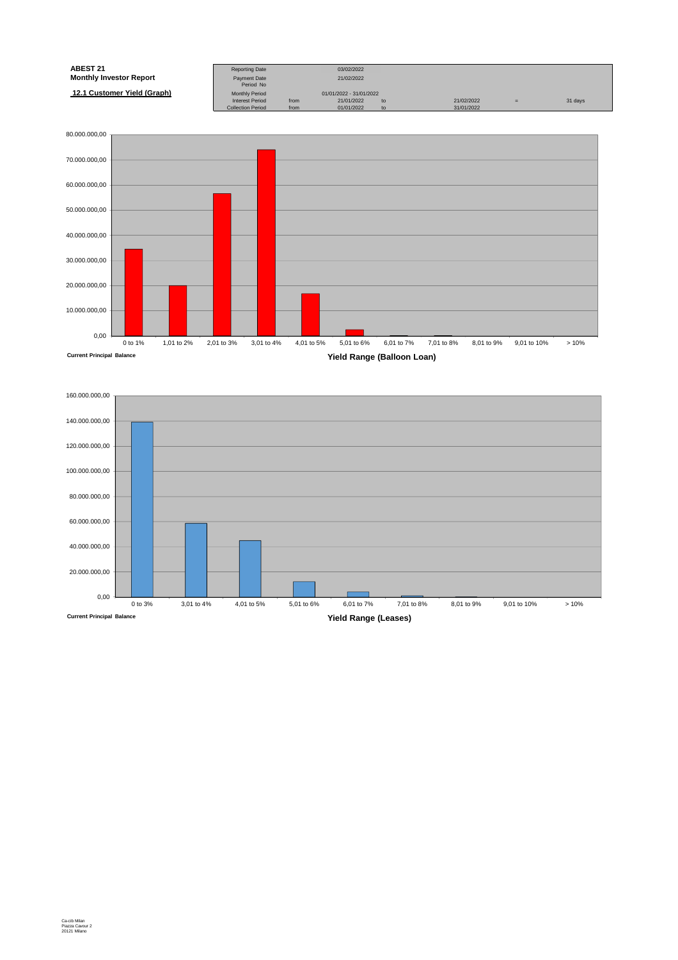| <b>ABEST 21</b>                | <b>Reporting Date</b>    |      | 03/02/2022              |    |            |     |         |
|--------------------------------|--------------------------|------|-------------------------|----|------------|-----|---------|
| <b>Monthly Investor Report</b> | Payment Date             |      | 21/02/2022              |    |            |     |         |
|                                | Period No                |      |                         |    |            |     |         |
| 12.1 Customer Yield (Graph)    | <b>Monthly Period</b>    |      | 01/01/2022 - 31/01/2022 |    |            |     |         |
|                                | <b>Interest Period</b>   | from | 21/01/2022              | to | 21/02/2022 | $=$ | 31 days |
|                                | <b>Collection Period</b> | from | 01/01/2022              | to | 31/01/2022 |     |         |



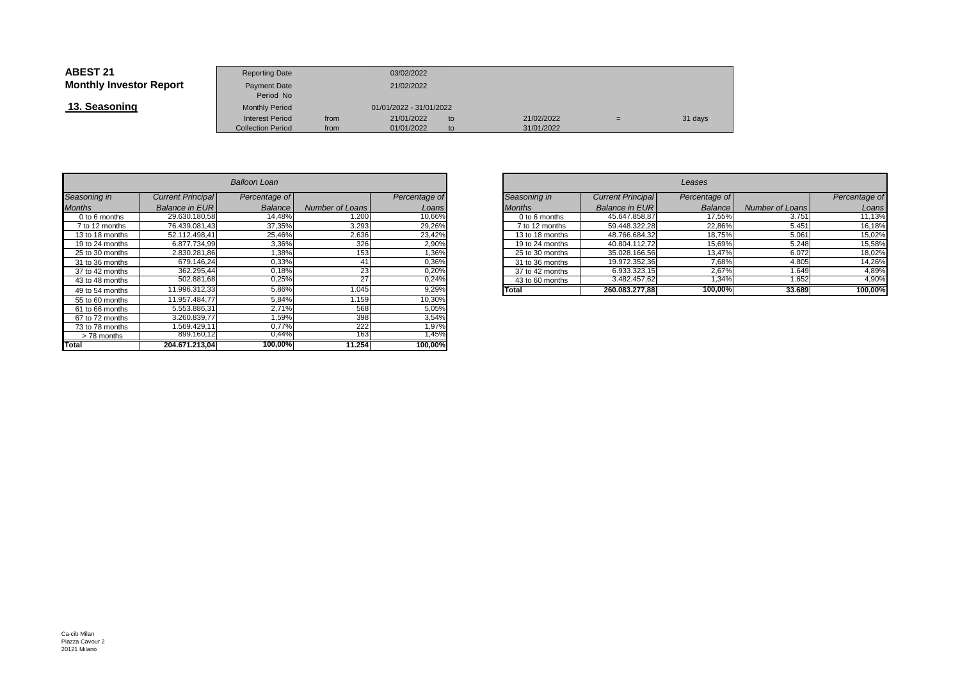| <b>ABEST 21</b>                | <b>Reporting Date</b>            |      | 03/02/2022              |    |            |     |         |
|--------------------------------|----------------------------------|------|-------------------------|----|------------|-----|---------|
| <b>Monthly Investor Report</b> | <b>Payment Date</b><br>Period No |      | 21/02/2022              |    |            |     |         |
| 13. Seasoning                  | <b>Monthly Period</b>            |      | 01/01/2022 - 31/01/2022 |    |            |     |         |
|                                | Interest Period                  | from | 21/01/2022              | to | 21/02/2022 | $=$ | 31 days |
|                                | <b>Collection Period</b>         | from | 01/01/2022              | to | 31/01/2022 |     |         |

|                 |                          | Balloon Loan   |                        |               |
|-----------------|--------------------------|----------------|------------------------|---------------|
| Seasoning in    | <b>Current Principal</b> | Percentage of  |                        | Percentage of |
| <b>Months</b>   | <b>Balance in EUR</b>    | <b>Balance</b> | <b>Number of Loans</b> | Loans         |
| 0 to 6 months   | 29.630.180.58            | 14,48%         | 1.200                  | 10,66%        |
| 7 to 12 months  | 76.439.081.43            | 37,35%         | 3.293                  | 29,26%        |
| 13 to 18 months | 52.112.498.41            | 25,46%         | 2.636                  | 23,42%        |
| 19 to 24 months | 6.877.734.99             | 3,36%          | 326                    | 2,90%         |
| 25 to 30 months | 2.830.281,86             | 1,38%          | 153                    | 1,36%         |
| 31 to 36 months | 679.146,24               | 0,33%          | 41                     | 0,36%         |
| 37 to 42 months | 362.295,44               | 0,18%          | 23                     | 0,20%         |
| 43 to 48 months | 502.881,68               | 0,25%          | 27                     | 0,24%         |
| 49 to 54 months | 11.996.312,33            | 5,86%          | 1.045                  | 9,29%         |
| 55 to 60 months | 11.957.484.77            | 5,84%          | 1.159                  | 10,30%        |
| 61 to 66 months | 5.553.886,31             | 2,71%          | 568                    | 5,05%         |
| 67 to 72 months | 3.260.839.77             | 1,59%          | 398                    | 3,54%         |
| 73 to 78 months | 1.569.429.11             | 0.77%          | 222                    | 1,97%         |
| > 78 months     | 899.160,12               | 0,44%          | 163                    | 1,45%         |
| <b>Total</b>    | 204.671.213.04           | 100,00%        | 11.254                 | 100,00%       |

| n        |                          |               |                 |                          | Leases        |                        |               |
|----------|--------------------------|---------------|-----------------|--------------------------|---------------|------------------------|---------------|
| qe of    |                          | Percentage of | Seasoning in    | <b>Current Principal</b> | Percentage of |                        | Percentage of |
| ance     | Number of Loans          | Loans         | <b>Months</b>   | <b>Balance in EURI</b>   | Balance       | <b>Number of Loans</b> | Loans         |
| l,48%    | .200                     | 10,66%        | 0 to 6 months   | 45.647.858.87            | 17.55%        | 3.751                  | 11,13%        |
| 7,35%    | 3.293                    | 29,26%        | 7 to 12 months  | 59.448.322.28            | 22,86%        | 5.451                  | 16,18%        |
| 5,46%    | 2.636                    | 23,42%        | 13 to 18 months | 48.766.684.32            | 18,75%        | 5.061                  | 15,02%        |
| 3,36%    | 326                      | 2,90%         | 19 to 24 months | 40.804.112,72            | 15,69%        | 5.248                  | 15,58%        |
| ,38%     | 153                      | .36%          | 25 to 30 months | 35.028.166,56            | 13,47%        | 6.072                  | 18,02%        |
| $,33\%$  | 41                       | 0,36%         | 31 to 36 months | 19.972.352,36            | 7,68%         | 4.805                  | 14,26%        |
| 18%      | 23                       | 0,20%         | 37 to 42 months | 6.933.323,15             | 2,67%         | 1.649                  | 4,89%         |
| ),25%    | 27                       | 0,24%         | 43 to 60 months | 3.482.457,62             | 1,34%         | .652                   | 4,90%         |
| $5,86\%$ | .045                     | 9,29%         | <b>Total</b>    | 260.083.277,88           | 100,00%       | 33.689                 | 100,00%       |
| .0101    | $\overline{\phantom{a}}$ | 10.0001       |                 |                          |               |                        |               |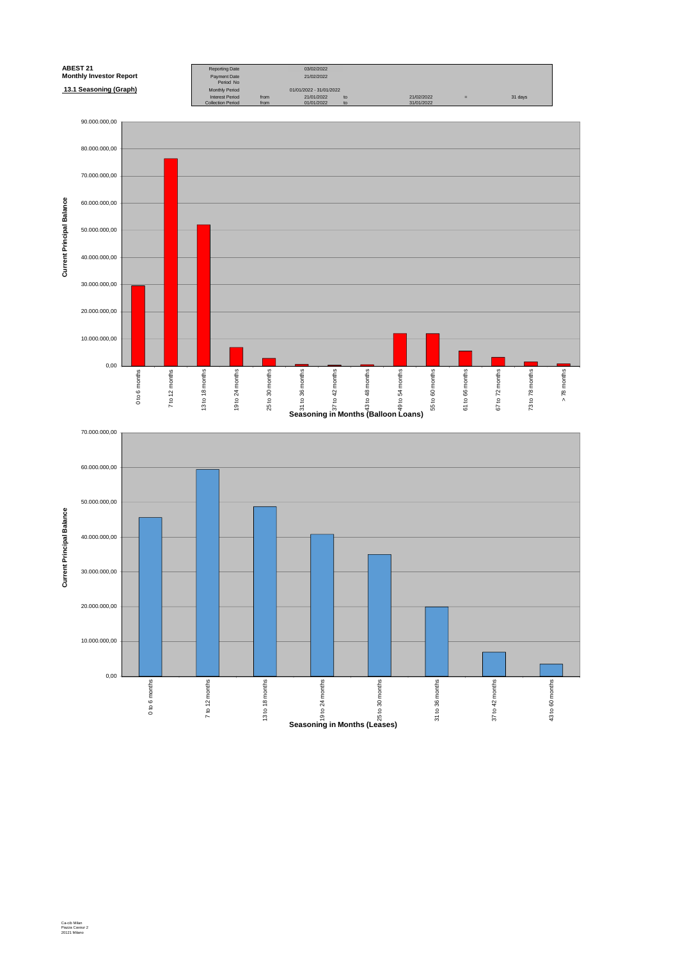

0,00

0 to 6 months

7 to 12 months

 $7$  to 12 months

13 to 18 months

13 to 18 months

19 to 24 months

**Seasoning in Months (Leases)**<br>Seasoning in Months (Leases)

25 to 30 months

31 to 36 months

31 to 36 months

37 to 42 months

37 to 42 months

43 to 60 months

43 to 60 months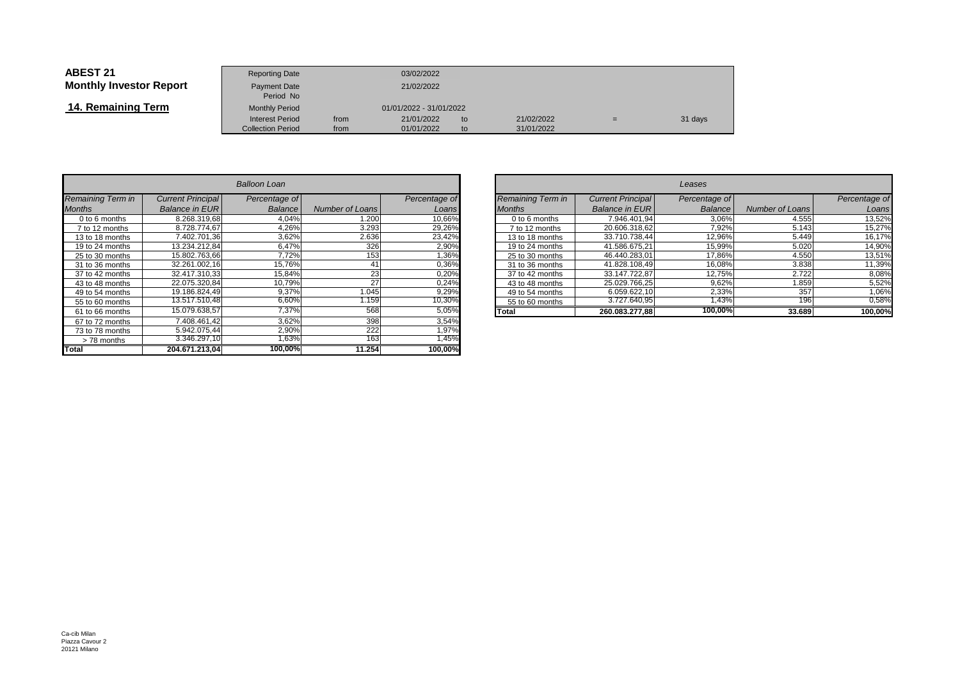| <b>ABEST 21</b>                | <b>Reporting Date</b>            |      | 03/02/2022              |    |            |     |         |
|--------------------------------|----------------------------------|------|-------------------------|----|------------|-----|---------|
| <b>Monthly Investor Report</b> | <b>Payment Date</b><br>Period No |      | 21/02/2022              |    |            |     |         |
| 14. Remaining Term             | <b>Monthly Period</b>            |      | 01/01/2022 - 31/01/2022 |    |            |     |         |
|                                | <b>Interest Period</b>           | from | 21/01/2022              | to | 21/02/2022 | $=$ | 31 days |
|                                | <b>Collection Period</b>         | from | 01/01/2022              | to | 31/01/2022 |     |         |

|                          |                          | <b>Balloon Loan</b> |                        |               |
|--------------------------|--------------------------|---------------------|------------------------|---------------|
| <b>Remaining Term in</b> | <b>Current Principal</b> | Percentage of       |                        | Percentage of |
| <b>Months</b>            | <b>Balance in EUR</b>    | <b>Balance</b>      | <b>Number of Loans</b> | Loans         |
| 0 to 6 months            | 8.268.319.68             | 4.04%               | 1.200                  | 10,66%        |
| 7 to 12 months           | 8.728.774,67             | 4,26%               | 3.293                  | 29,26%        |
| 13 to 18 months          | 7.402.701.36             | 3,62%               | 2.636                  | 23,42%        |
| 19 to 24 months          | 13.234.212.84            | 6,47%               | 326                    | 2,90%         |
| 25 to 30 months          | 15.802.763,66            | 7,72%               | 153                    | 1,36%         |
| 31 to 36 months          | 32.261.002.16            | 15,76%              | 41                     | 0,36%         |
| 37 to 42 months          | 32.417.310,33            | 15,84%              | 23                     | 0,20%         |
| 43 to 48 months          | 22.075.320.84            | 10,79%              | 27                     | 0,24%         |
| 49 to 54 months          | 19.186.824,49            | 9,37%               | 1.045                  | 9,29%         |
| 55 to 60 months          | 13.517.510,48            | 6,60%               | 1.159                  | 10,30%        |
| 61 to 66 months          | 15.079.638,57            | 7,37%               | 568                    | 5,05%         |
| 67 to 72 months          | 7.408.461,42             | 3,62%               | 398                    | 3,54%         |
| 73 to 78 months          | 5.942.075,44             | 2,90%               | 222                    | 1,97%         |
| > 78 months              | 3.346.297,10             | 1,63%               | 163                    | 1,45%         |
| <b>Total</b>             | 204.671.213.04           | 100,00%             | 11.254                 | 100.00%       |

| n     |                 |               |               |                   |                          | Leases        |                 |               |
|-------|-----------------|---------------|---------------|-------------------|--------------------------|---------------|-----------------|---------------|
| ge of |                 | Percentage of |               | Remaining Term in | <b>Current Principal</b> | Percentage of |                 | Percentage of |
| ance  | Number of Loans | Loans         | <b>Months</b> |                   | <b>Balance in EUR</b>    | Balance       | Number of Loans | Loans         |
| 4,04% | .200            | 10,66%        |               | 0 to 6 months     | 7.946.401.94             | 3,06%         | 4.555           | 13,52%        |
| ,26%  | 3.293           | 29,26%        |               | 7 to 12 months    | 20.606.318.62            | 7.92%         | 5.143           | 15,27%        |
| 3,62% | 2.636           | 23,42%        |               | 13 to 18 months   | 33.710.738,44            | 12,96%        | 5.449           | 16,17%        |
| 6,47% | 326             | 2,90%         |               | 19 to 24 months   | 41.586.675.21            | 15,99%        | 5.020           | 14,90%        |
| ,72%  | 153             | 1,36%         |               | 25 to 30 months   | 46.440.283.01            | 17,86%        | 4.550           | 13,51%        |
| 5,76% | 41              | 0,36%         |               | 31 to 36 months   | 41.828.108,49            | 16,08%        | 3.838           | 11,39%        |
| 5,84% | 23              | 0,20%         |               | 37 to 42 months   | 33.147.722.87            | 12,75%        | 2.722           | 8,08%         |
| ,79%  | 27              | 0,24%         |               | 43 to 48 months   | 25.029.766.25            | 9,62%         | 1.859           | 5,52%         |
| ,37%  | .045            | 9,29%         |               | 49 to 54 months   | 6.059.622.10             | 2,33%         | 357             | 1,06%         |
| ,60%  | .159            | 10,30%        |               | 55 to 60 months   | 3.727.640,95             | ,43%          | 196             | 0,58%         |
| 7,37% | 568             | 5,05%         | Total         |                   | 260.083.277.88           | 100,00%       | 33.689          | 100,00%       |
| 0.001 | 000             | 0.540/        |               |                   |                          |               |                 |               |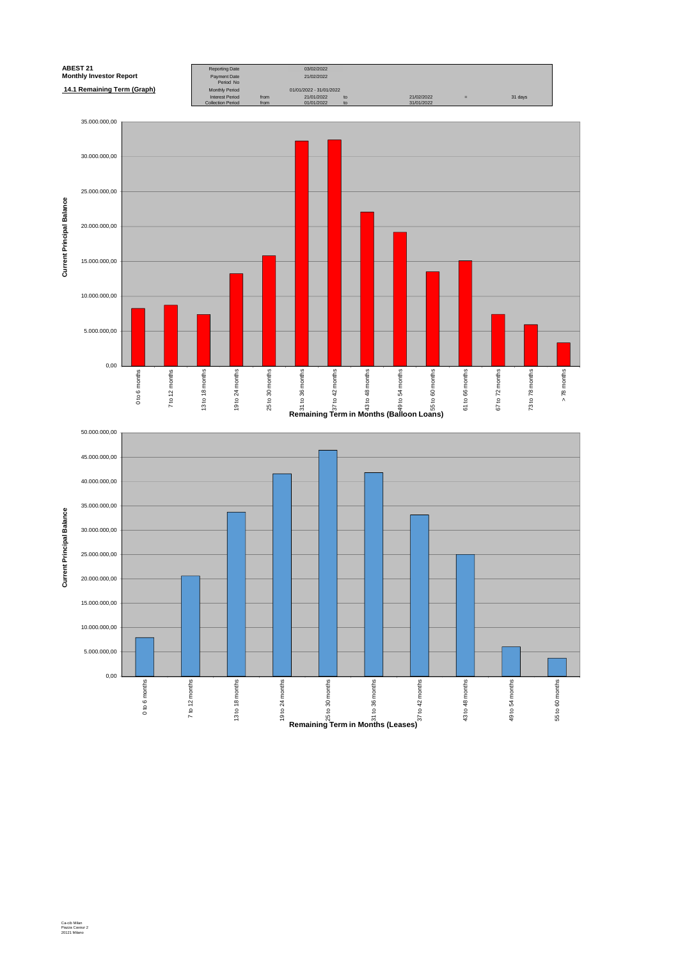

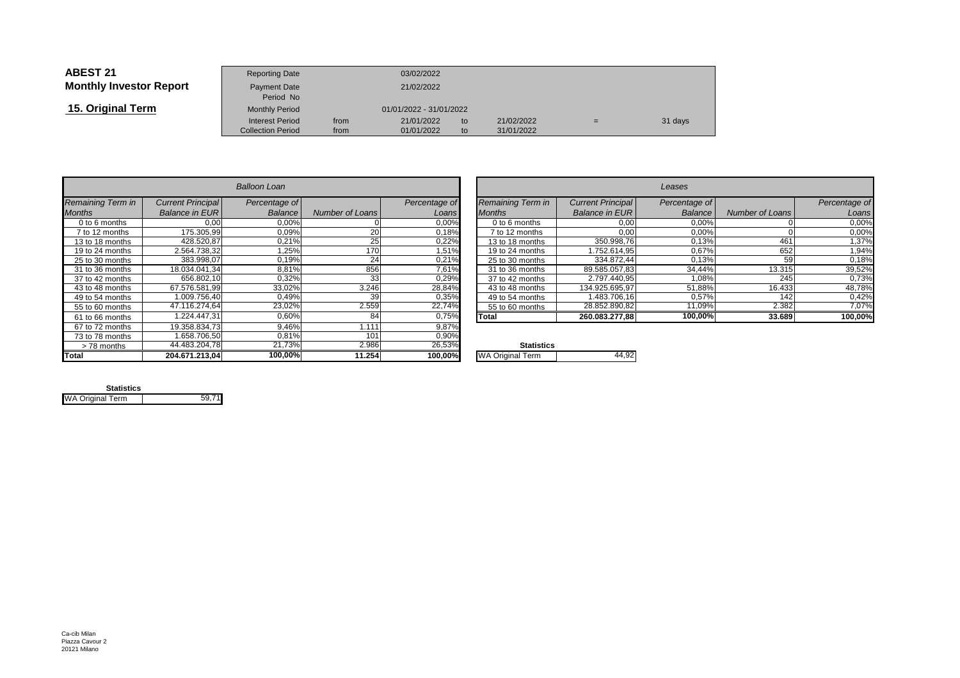| <b>ABEST 21</b>                | <b>Reporting Date</b>     |      | 03/02/2022              |    |            |     |         |
|--------------------------------|---------------------------|------|-------------------------|----|------------|-----|---------|
| <b>Monthly Investor Report</b> | Payment Date<br>Period No |      | 21/02/2022              |    |            |     |         |
| 15. Original Term              | <b>Monthly Period</b>     |      | 01/01/2022 - 31/01/2022 |    |            |     |         |
|                                | <b>Interest Period</b>    | from | 21/01/2022              | to | 21/02/2022 | $=$ | 31 days |
|                                | <b>Collection Period</b>  | from | 01/01/2022              | to | 31/01/2022 |     |         |

|                          |                          | <b>Balloon Loan</b> |                        |               |                         |
|--------------------------|--------------------------|---------------------|------------------------|---------------|-------------------------|
| <b>Remaining Term in</b> | <b>Current Principal</b> | Percentage of       |                        | Percentage of | Remaining Term in       |
| <b>Months</b>            | <b>Balance in EUR</b>    | Balance             | <b>Number of Loans</b> | Loans         | <b>Months</b>           |
| 0 to 6 months            | 0.00                     | $0.00\%$            |                        | $0.00\%$      | 0 to 6 months           |
| 7 to 12 months           | 175.305.99               | 0.09%               | 20                     | 0.18%         | 7 to 12 months          |
| 13 to 18 months          | 428.520.87               | 0,21%               | 25                     | 0,22%         | 13 to 18 months         |
| 19 to 24 months          | 2.564.738.32             | 1.25%               | 170                    | 1,51%         | 19 to 24 months         |
| 25 to 30 months          | 383.998.07               | 0,19%               | 24                     | 0,21%         | 25 to 30 months         |
| 31 to 36 months          | 18.034.041.34            | 8,81%               | 856                    | 7,61%         | 31 to 36 months         |
| 37 to 42 months          | 656.802.10               | 0,32%               | 33                     | 0,29%         | 37 to 42 months         |
| 43 to 48 months          | 67.576.581.99            | 33.02%              | 3.246                  | 28,84%        | 43 to 48 months         |
| 49 to 54 months          | 1.009.756.40             | 0,49%               | 39                     | 0,35%         | 49 to 54 months         |
| 55 to 60 months          | 47.116.274,64            | 23,02%              | 2.559                  | 22,74%        | 55 to 60 months         |
| 61 to 66 months          | 1.224.447.31             | 0.60%               | 84                     | 0,75%         | Total                   |
| 67 to 72 months          | 19.358.834.73            | 9.46%               | 1.111                  | 9,87%         |                         |
| 73 to 78 months          | 1.658.706.50             | 0,81%               | 101                    | 0,90%         |                         |
| >78 months               | 44.483.204,78            | 21,73%              | 2.986                  | 26,53%        | <b>Statistics</b>       |
| <b>Total</b>             | 204.671.213.04           | 100,00%             | 11.254                 | 100,00%       | <b>WA Original Term</b> |

| n               |                 |               |                   |                          | Leases         |                        |               |
|-----------------|-----------------|---------------|-------------------|--------------------------|----------------|------------------------|---------------|
| ge of           |                 | Percentage of | Remaining Term in | <b>Current Principal</b> | Percentage of  |                        | Percentage of |
| ance            | Number of Loans | Loans         | <b>Months</b>     | <b>Balance in EUR</b>    | <b>Balance</b> | <b>Number of Loans</b> | Loans         |
| ,00%            |                 | 0,00%         | 0 to 6 months     | 0,00                     | 0,00%          |                        | 0,00%         |
| ,09%            | 20 <sub>1</sub> | 0,18%         | to 12 months      | 0,00                     | 0,00%          |                        | 0,00%         |
| ,21%            | 25              | 0,22%         | 13 to 18 months   | 350.998,76               | 0,13%          | 461                    | 1,37%         |
| ,25%            | 170             | 1,51%         | 19 to 24 months   | 1.752.614,95             | 0,67%          | 652                    | 1,94%         |
| ,19%            | 24              | 0,21%         | 25 to 30 months   | 334.872,44               | 0,13%          | 59                     | 0,18%         |
| 3,81%           | 856             | 7,61%         | 31 to 36 months   | 89.585.057,83            | 34,44%         | 13.315                 | 39,52%        |
| ,32%            | 33              | 0,29%         | 37 to 42 months   | 2.797.440.95             | 1,08%          | 245                    | 0,73%         |
| ,02%            | 3.246           | 28,84%        | 43 to 48 months   | 134.925.695.97           | 51,88%         | 16.433                 | 48,78%        |
| ,49%            | 39              | 0,35%         | 49 to 54 months   | 1.483.706.16             | 0,57%          | 142                    | 0,42%         |
| 3,02%           | 2.559           | 22,74%        | 55 to 60 months   | 28.852.890,82            | 11,09%         | 2.382                  | 7,07%         |
| ,60%            | 84              | 0,75%         | Total             | 260.083.277.88           | 100,00%        | 33.689                 | 100,00%       |
| 10 <sup>1</sup> | .               | 0.0701        |                   |                          |                |                        |               |

| .<br>℅ | <b>Statistics</b>       |  |
|--------|-------------------------|--|
| ℅      | <b>WA Original Term</b> |  |
|        |                         |  |

| <b>Statistics</b>       |       |
|-------------------------|-------|
| <b>WA Original Term</b> | 59.71 |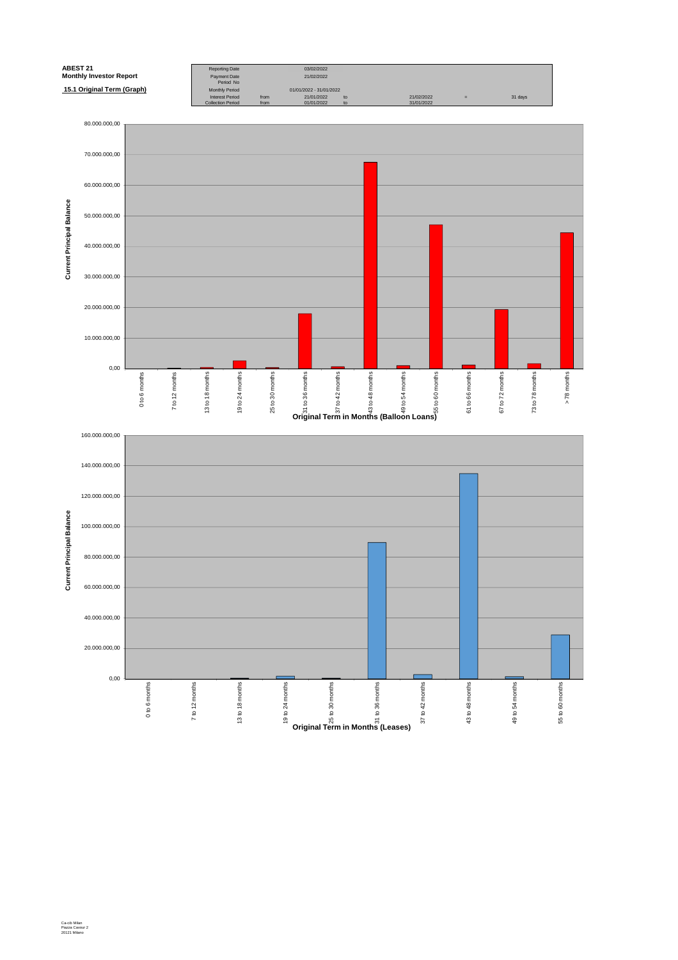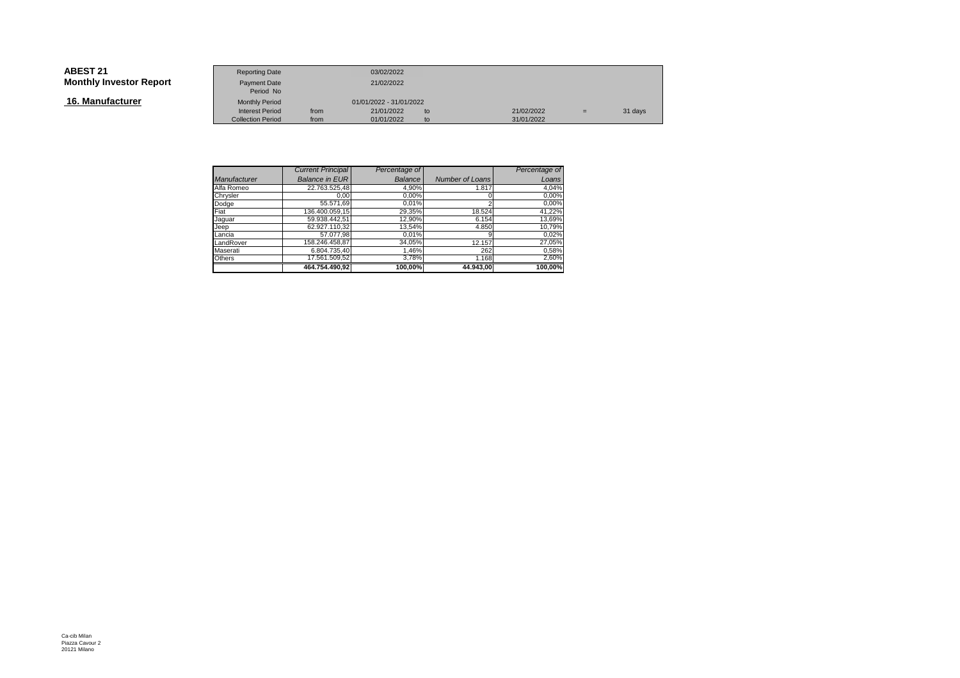| <b>ABEST 21</b>                | <b>Reporting Date</b>                              |              | 03/02/2022               |          |                          |     |         |
|--------------------------------|----------------------------------------------------|--------------|--------------------------|----------|--------------------------|-----|---------|
| <b>Monthly Investor Report</b> | Payment Date<br>Period No                          |              | 21/02/2022               |          |                          |     |         |
| 16. Manufacturer               | <b>Monthly Period</b>                              |              | 01/01/2022 - 31/01/2022  |          |                          |     |         |
|                                | <b>Interest Period</b><br><b>Collection Period</b> | from<br>from | 21/01/2022<br>01/01/2022 | to<br>to | 21/02/2022<br>31/01/2022 | $=$ | 31 days |

|              | <b>Current Principal</b> | Percentage of |                        | Percentage of |
|--------------|--------------------------|---------------|------------------------|---------------|
| Manufacturer | <b>Balance in EUR</b>    | Balance       | <b>Number of Loans</b> | Loans         |
| Alfa Romeo   | 22.763.525.48            | 4,90%         | 1.817                  | 4,04%         |
| Chrysler     | 0.00                     | 0,00%         |                        | 0,00%         |
| Dodge        | 55.571.69                | 0,01%         |                        | 0,00%         |
| Fiat         | 136.400.059.15           | 29,35%        | 18.524                 | 41,22%        |
| Jaquar       | 59.938.442.51            | 12,90%        | 6.154                  | 13,69%        |
| Jeep         | 62.927.110.32            | 13,54%        | 4.850                  | 10,79%        |
| Lancia       | 57.077.98                | 0.01%         | 9                      | 0,02%         |
| LandRover    | 158.246.458,87           | 34,05%        | 12.157                 | 27,05%        |
| Maserati     | 6.804.735.40             | 1,46%         | 262                    | 0,58%         |
| Others       | 17.561.509.52            | 3.78%         | 1.168                  | 2,60%         |
|              | 464.754.490,92           | 100.00%       | 44.943.00              | 100.00%       |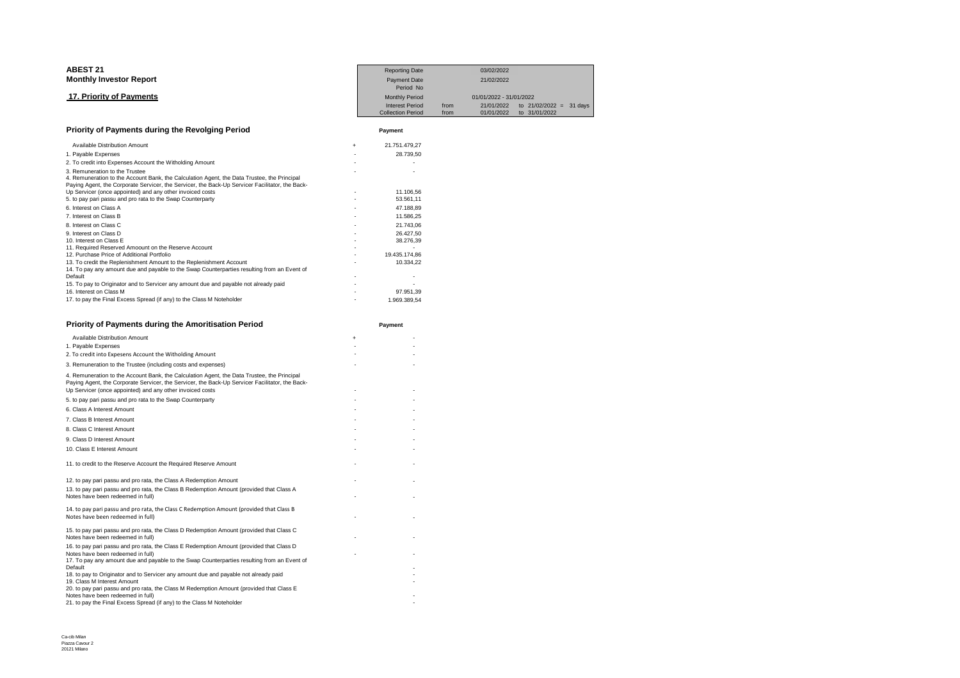### **17. Priority of Payments**

|                 | <b>Reporting Date</b>                              |              | 03/02/2022               |                                            |  |
|-----------------|----------------------------------------------------|--------------|--------------------------|--------------------------------------------|--|
| Investor Report | Payment Date<br>Period No                          |              | 21/02/2022               |                                            |  |
| ity of Payments | <b>Monthly Period</b>                              |              | 01/01/2022 - 31/01/2022  |                                            |  |
|                 | <b>Interest Period</b><br><b>Collection Period</b> | from<br>from | 21/01/2022<br>01/01/2022 | to $21/02/2022 = 31$ days<br>to 31/01/2022 |  |
|                 |                                                    |              |                          |                                            |  |

**Payment**

## **Priority of Payments during the Revolging Period**

| Available Distribution Amount                                                                                                                                                                  |   | 21.751.479.27 |
|------------------------------------------------------------------------------------------------------------------------------------------------------------------------------------------------|---|---------------|
| 1. Payable Expenses                                                                                                                                                                            |   | 28.739.50     |
| 2. To credit into Expenses Account the Witholding Amount                                                                                                                                       |   |               |
| 3. Remuneration to the Trustee                                                                                                                                                                 |   |               |
| 4. Remuneration to the Account Bank, the Calculation Agent, the Data Trustee, the Principal<br>Paying Agent, the Corporate Servicer, the Servicer, the Back-Up Servicer Facilitator, the Back- |   |               |
| Up Servicer (once appointed) and any other invoiced costs                                                                                                                                      |   | 11.106,56     |
| 5. to pay pari passu and pro rata to the Swap Counterparty                                                                                                                                     |   | 53.561.11     |
| 6. Interest on Class A                                                                                                                                                                         |   | 47.188.89     |
| 7. Interest on Class B                                                                                                                                                                         | ۰ | 11.586.25     |
| 8. Interest on Class C                                                                                                                                                                         | ٠ | 21.743.06     |
| 9. Interest on Class D                                                                                                                                                                         |   | 26.427.50     |
| 10. Interest on Class E                                                                                                                                                                        |   | 38.276.39     |
| 11. Required Reserved Amoount on the Reserve Account                                                                                                                                           |   |               |
| 12. Purchase Price of Additional Portfolio                                                                                                                                                     |   | 19.435.174.86 |
| 13. To credit the Replenishment Amount to the Replenishment Account                                                                                                                            |   | 10.334.22     |
| 14. To pay any amount due and payable to the Swap Counterparties resulting from an Event of                                                                                                    |   |               |
| Default                                                                                                                                                                                        |   |               |
| 15. To pay to Originator and to Servicer any amount due and payable not already paid                                                                                                           |   |               |
| 16. Interest on Class M                                                                                                                                                                        |   | 97.951,39     |
| 17. to pay the Final Excess Spread (if any) to the Class M Noteholder                                                                                                                          |   | 1.969.389.54  |

| Priority of Payments during the Amoritisation Period                                                                                                                                                                                                        |     | Payment |
|-------------------------------------------------------------------------------------------------------------------------------------------------------------------------------------------------------------------------------------------------------------|-----|---------|
| Available Distribution Amount                                                                                                                                                                                                                               | $+$ |         |
| 1. Payable Expenses<br>2. To credit into Expesens Account the Witholding Amount                                                                                                                                                                             |     |         |
| 3. Remuneration to the Trustee (including costs and expenses)                                                                                                                                                                                               |     |         |
| 4. Remuneration to the Account Bank, the Calculation Agent, the Data Trustee, the Principal<br>Paying Agent, the Corporate Servicer, the Servicer, the Back-Up Servicer Facilitator, the Back-<br>Up Servicer (once appointed) and any other invoiced costs |     |         |
| 5. to pay pari passu and pro rata to the Swap Counterparty                                                                                                                                                                                                  |     |         |
| 6. Class A Interest Amount                                                                                                                                                                                                                                  |     |         |
| 7. Class B Interest Amount                                                                                                                                                                                                                                  |     |         |
| 8. Class C Interest Amount                                                                                                                                                                                                                                  |     |         |
| 9. Class D Interest Amount                                                                                                                                                                                                                                  |     |         |
| 10. Class E Interest Amount                                                                                                                                                                                                                                 |     |         |
| 11. to credit to the Reserve Account the Required Reserve Amount                                                                                                                                                                                            |     |         |
| 12. to pay pari passu and pro rata, the Class A Redemption Amount                                                                                                                                                                                           |     |         |
| 13. to pay pari passu and pro rata, the Class B Redemption Amount (provided that Class A<br>Notes have been redeemed in full)                                                                                                                               |     |         |
| 14. to pay pari passu and pro rata, the Class C Redemption Amount (provided that Class B<br>Notes have been redeemed in full)                                                                                                                               |     |         |
| 15. to pay pari passu and pro rata, the Class D Redemption Amount (provided that Class C<br>Notes have been redeemed in full)                                                                                                                               |     |         |
| 16. to pay pari passu and pro rata, the Class E Redemption Amount (provided that Class D<br>Notes have been redeemed in full)<br>17. To pay any amount due and payable to the Swap Counterparties resulting from an Event of                                |     |         |
| Default                                                                                                                                                                                                                                                     |     |         |
| 18. to pay to Originator and to Servicer any amount due and payable not already paid<br>19. Class M Interest Amount                                                                                                                                         |     |         |
| 20. to pay pari passu and pro rata, the Class M Redemption Amount (provided that Class E                                                                                                                                                                    |     |         |
| Notes have been redeemed in full)<br>21. to pay the Final Excess Spread (if any) to the Class M Noteholder                                                                                                                                                  |     |         |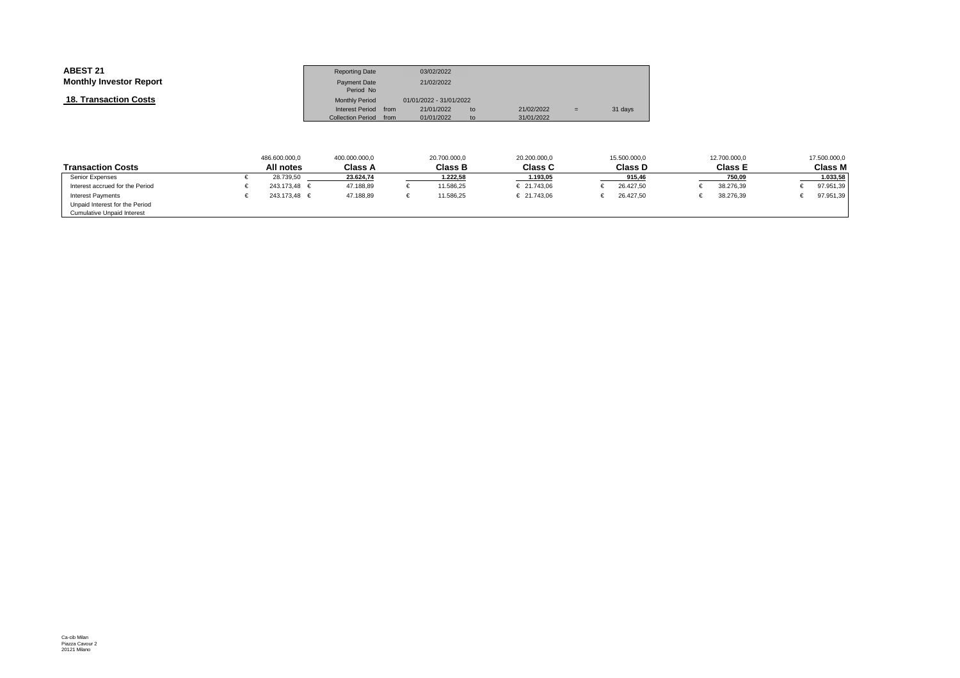| <b>ABEST 21</b>                | <b>Reporting Date</b>    |      | 03/02/2022              |    |            |     |         |
|--------------------------------|--------------------------|------|-------------------------|----|------------|-----|---------|
| <b>Monthly Investor Report</b> | Payment Date             |      | 21/02/2022              |    |            |     |         |
|                                | Period No                |      |                         |    |            |     |         |
| <b>18. Transaction Costs</b>   | <b>Monthly Period</b>    |      | 01/01/2022 - 31/01/2022 |    |            |     |         |
|                                | <b>Interest Period</b>   | from | 21/01/2022              | to | 21/02/2022 | $=$ | 31 days |
|                                | <b>Collection Period</b> | from | 01/01/2022              | to | 31/01/2022 |     |         |

|                                   | 486.600.000.0    | 400.000.000.0  | 20.700.000,0   | 20.200.000.0   | 15.500.000,0   | 12.700.000.0   | 17.500.000,0 |
|-----------------------------------|------------------|----------------|----------------|----------------|----------------|----------------|--------------|
| <b>Transaction Costs</b>          | All notes        | <b>Class A</b> | <b>Class B</b> | <b>Class C</b> | <b>Class D</b> | <b>Class E</b> | Class M      |
| Senior Expenses                   | 28.739,50        | 23.624,74      | 1.222,58       | 1.193,05       | 915,46         | 750,09         | 1.033,58     |
| Interest accrued for the Period   | 243.173.48 €     | 47.188.89      | 11.586.25      | € 21.743.06    | 26.427.50      | 38.276.39      | 97.951,39    |
| <b>Interest Payments</b>          | $243.173.48 \in$ | 47.188.89      | 11.586.25      | € 21.743.06    | 26.427.50      | 38.276.39      | 97.951,39    |
| Unpaid Interest for the Period    |                  |                |                |                |                |                |              |
| <b>Cumulative Unpaid Interest</b> |                  |                |                |                |                |                |              |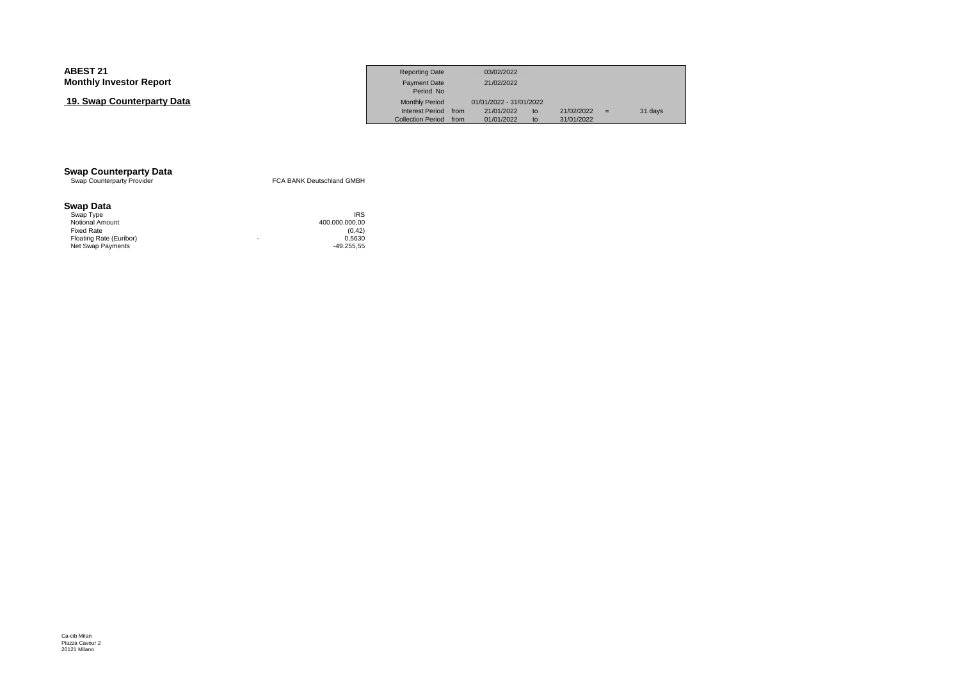# **19. Swap Counterparty Data**

|                     | <b>Reporting Date</b>     | 03/02/2022              |    |            |   |         |
|---------------------|---------------------------|-------------------------|----|------------|---|---------|
| Investor Report     | Payment Date<br>Period No | 21/02/2022              |    |            |   |         |
| ว Counterparty Data | <b>Monthly Period</b>     | 01/01/2022 - 31/01/2022 |    |            |   |         |
|                     | Interest Period from      | 21/01/2022              | to | 21/02/2022 | ਢ | 31 days |
|                     | Collection Period from    | 01/01/2022              | to | 31/01/2022 |   |         |

# **Swap Counterparty Data**<br>Swap Counterparty Provider

FCA BANK Deutschland GMBH

# **Swap Data**

| Swap Type               | <b>IRS</b>     |
|-------------------------|----------------|
| <b>Notional Amount</b>  | 400.000.000.00 |
| <b>Fixed Rate</b>       | (0.42)         |
| Floating Rate (Euribor) | 0.5630<br>۰    |
| Net Swap Payments       | $-49.255.55$   |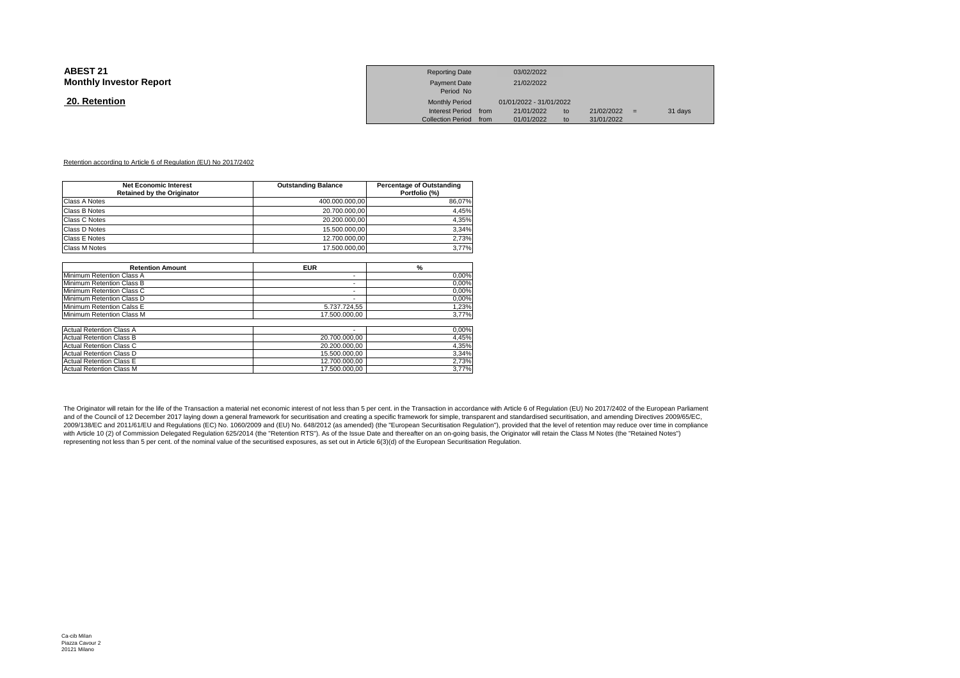| <b>ABEST 21</b><br><b>Monthly Investor Report</b> | <b>Reporting Date</b><br><b>Payment Date</b><br>Period No | 03/02/2022<br>21/02/2022 |          |                          |         |  |
|---------------------------------------------------|-----------------------------------------------------------|--------------------------|----------|--------------------------|---------|--|
| 20. Retention                                     | <b>Monthly Period</b>                                     | 01/01/2022 - 31/01/2022  |          |                          |         |  |
|                                                   | Interest Period from<br>Collection Period from            | 21/01/2022<br>01/01/2022 | to<br>to | 21/02/2022<br>31/01/2022 | 31 days |  |
|                                                   |                                                           |                          |          |                          |         |  |

### Retention according to Article 6 of Regulation (EU) No 2017/2402

| <b>Net Economic Interest</b>      | <b>Outstanding Balance</b> | <b>Percentage of Outstanding</b> |
|-----------------------------------|----------------------------|----------------------------------|
| <b>Retained by the Originator</b> |                            | Portfolio (%)                    |
| Class A Notes                     | 400.000.000,00             | 86,07%                           |
| Class B Notes                     | 20.700.000.00              | 4,45%                            |
| Class C Notes                     | 20.200.000,00              | 4,35%                            |
| Class D Notes                     | 15.500.000,00              | 3,34%                            |
| Class E Notes                     | 12.700.000,00              | 2,73%                            |
| Class M Notes                     | 17.500.000.00              | 3,77%                            |
|                                   |                            |                                  |
| <b>Retention Amount</b>           | <b>EUR</b>                 | $\%$                             |
| Minimum Retention Class A         | ۰                          | 0,00%                            |
| Minimum Retention Class B         | ٠                          | 0,00%                            |
| Minimum Retention Class C         | ٠                          | 0,00%                            |
| Minimum Retention Class D         | $\overline{\phantom{0}}$   | 0,00%                            |
| Minimum Retention Calss E         | 5.737.724.55               | 1,23%                            |
| Minimum Retention Class M         | 17.500.000.00              | 3,77%                            |
| <b>Actual Retention Class A</b>   |                            | 0,00%                            |
| <b>Actual Retention Class B</b>   | 20.700.000.00              | 4,45%                            |
| <b>Actual Retention Class C</b>   | 20.200.000.00              | 4,35%                            |
| <b>Actual Retention Class D</b>   | 15.500.000.00              | 3,34%                            |
| <b>Actual Retention Class E</b>   | 12.700.000.00              | 2,73%                            |
| <b>Actual Retention Class M</b>   | 17.500.000.00              | 3,77%                            |

The Originator will retain for the life of the Transaction a material net economic interest of not less than 5 per cent. in the Transaction in accordance with Article 6 of Regulation (EU) No 2017/2402 of the European Parli and of the Council of 12 December 2017 laying down a general framework for securitisation and creating a specific framework for simple, transparent and standardised securitisation, and amending Directives 2009/65/EC, 2009/138/EC and 2011/61/EU and Regulations (EC) No. 1060/2009 and (EU) No. 648/2012 (as amended) (the "European Securitisation Regulation"), provided that the level of retention may reduce over time in compliance with Article 10 (2) of Commission Delegated Regulation 625/2014 (the "Retention RTS"). As of the Issue Date and thereafter on an on-going basis, the Originator will retain the Class M Notes (the "Retained Notes") representing not less than 5 per cent. of the nominal value of the securitised exposures, as set out in Article 6(3)(d) of the European Securitisation Regulation.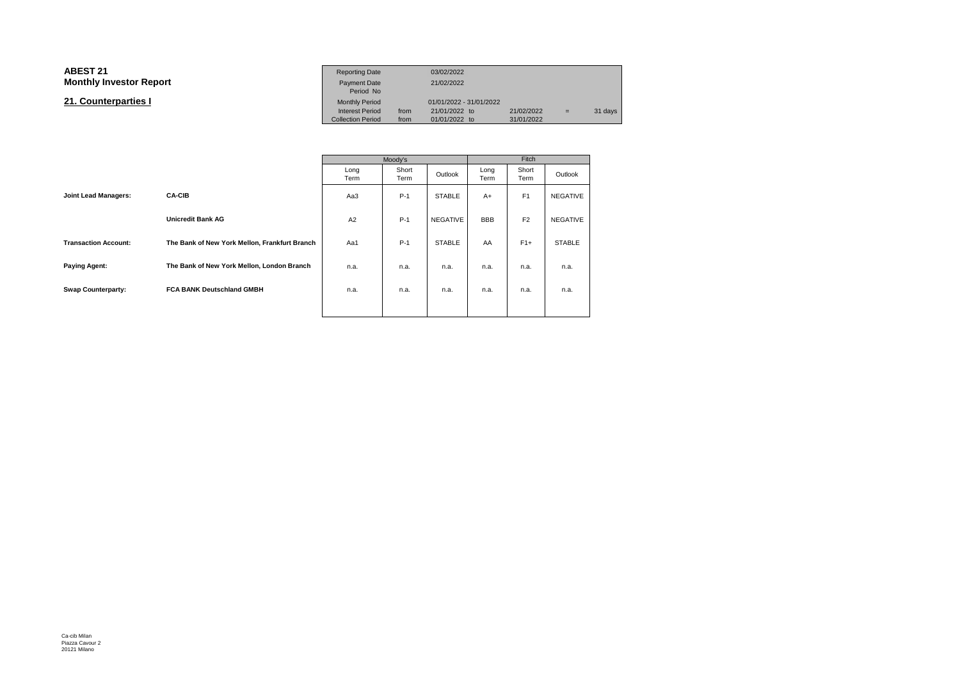#### **ABEST 211** Reporting Date 03/02/2022<br>- Production of the contract of the contract of the contract of the contract of the contract of the contract of the contract of the contract of the contract of the contract of the contract of **Monthly Investor Report**t Payment Date 21/02/2022<br>Period No Monthly Period **21. Counterparties I**Monthly Period 01/01/2022 - 31/01/2022<br>Interest Period from 21/01/2022 to  $21/01/2022$  to  $21/02/2022$  = 31 days<br>01/01/2022 to 31/01/2022 Collection Period from01/01/2022 to

|                             |                                               |              | Moody's       |               | Fitch        |                |                 |  |
|-----------------------------|-----------------------------------------------|--------------|---------------|---------------|--------------|----------------|-----------------|--|
|                             |                                               | Long<br>Term | Short<br>Term | Outlook       | Long<br>Term | Short<br>Term  | Outlook         |  |
| <b>Joint Lead Managers:</b> | <b>CA-CIB</b>                                 | Aa3          | $P-1$         | <b>STABLE</b> | $A+$         | F <sub>1</sub> | <b>NEGATIVE</b> |  |
|                             | <b>Unicredit Bank AG</b>                      | A2           | $P-1$         | NEGATIVE      | <b>BBB</b>   | F <sub>2</sub> | <b>NEGATIVE</b> |  |
| <b>Transaction Account:</b> | The Bank of New York Mellon, Frankfurt Branch | Aa1          | $P-1$         | <b>STABLE</b> | AA           | $F1+$          | <b>STABLE</b>   |  |
| <b>Paying Agent:</b>        | The Bank of New York Mellon, London Branch    | n.a.         | n.a.          | n.a.          | n.a.         | n.a.           | n.a.            |  |
| <b>Swap Counterparty:</b>   | <b>FCA BANK Deutschland GMBH</b>              | n.a.         | n.a.          | n.a.          | n.a.         | n.a.           | n.a.            |  |
|                             |                                               |              |               |               |              |                |                 |  |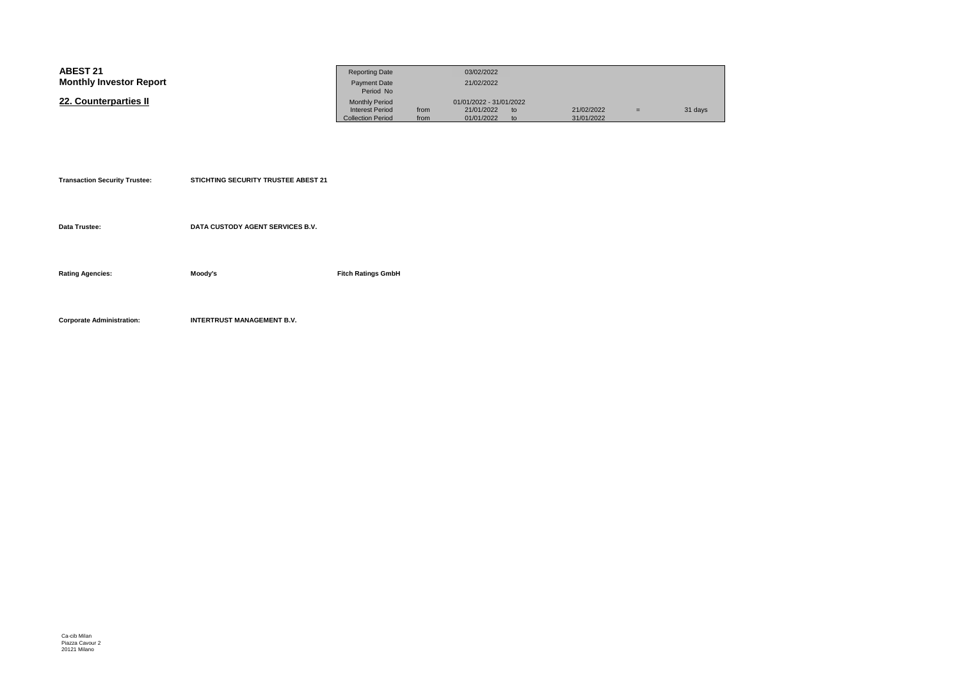| <b>ABEST 21</b>                | <b>Reporting Date</b>                              |              | 03/02/2022               |          |                          |     |         |
|--------------------------------|----------------------------------------------------|--------------|--------------------------|----------|--------------------------|-----|---------|
| <b>Monthly Investor Report</b> | <b>Payment Date</b><br>Period No                   |              | 21/02/2022               |          |                          |     |         |
| 22. Counterparties II          | <b>Monthly Period</b>                              |              | 01/01/2022 - 31/01/2022  |          |                          |     |         |
|                                | <b>Interest Period</b><br><b>Collection Period</b> | from<br>from | 21/01/2022<br>01/01/2022 | to<br>to | 21/02/2022<br>31/01/2022 | $=$ | 31 days |

| <b>Transaction Security Trustee:</b> | <b>STICHTING SECURITY TRUSTEE ABEST 21</b> |
|--------------------------------------|--------------------------------------------|
|                                      |                                            |

**Data Trustee:DATA CUSTODY AGENT SERVICES B.V.**

**Rating Agencies:Moody's**

**Fitch Ratings GmbH**

**Corporate Administration:INTERTRUST MANAGEMENT B.V.**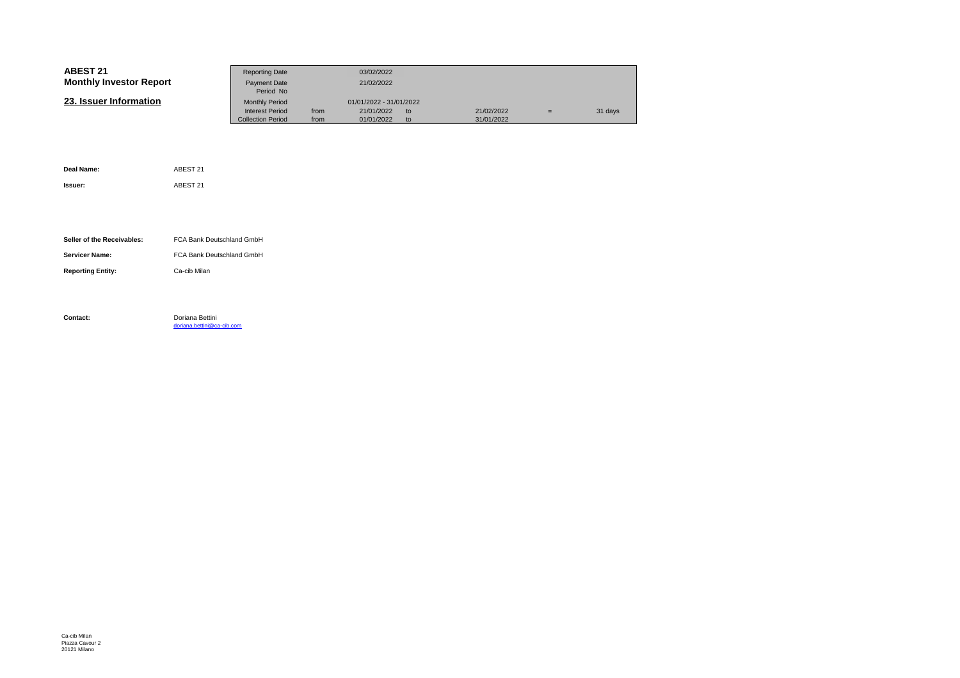| <b>ABEST 21</b>                |                                               | <b>Reporting Date</b>     |                         | 03/02/2022 |    |            |     |         |
|--------------------------------|-----------------------------------------------|---------------------------|-------------------------|------------|----|------------|-----|---------|
| <b>Monthly Investor Report</b> |                                               | Payment Date              |                         | 21/02/2022 |    |            |     |         |
|                                |                                               | Period No                 |                         |            |    |            |     |         |
| 23. Issuer Information         |                                               | <b>Monthly Period</b>     | 01/01/2022 - 31/01/2022 |            |    |            |     |         |
|                                |                                               | <b>Interest Period</b>    | from                    | 21/01/2022 | to | 21/02/2022 | $=$ | 31 days |
|                                |                                               | <b>Collection Period</b>  | from                    | 01/01/2022 | to | 31/01/2022 |     |         |
|                                |                                               |                           |                         |            |    |            |     |         |
|                                |                                               |                           |                         |            |    |            |     |         |
|                                |                                               |                           |                         |            |    |            |     |         |
|                                |                                               |                           |                         |            |    |            |     |         |
| Deal Name:                     | ABEST 21                                      |                           |                         |            |    |            |     |         |
|                                |                                               |                           |                         |            |    |            |     |         |
| Issuer:                        | ABEST 21                                      |                           |                         |            |    |            |     |         |
|                                |                                               |                           |                         |            |    |            |     |         |
|                                |                                               |                           |                         |            |    |            |     |         |
|                                |                                               |                           |                         |            |    |            |     |         |
|                                |                                               |                           |                         |            |    |            |     |         |
|                                |                                               |                           |                         |            |    |            |     |         |
| Seller of the Receivables:     |                                               | FCA Bank Deutschland GmbH |                         |            |    |            |     |         |
| <b>Servicer Name:</b>          | FCA Bank Deutschland GmbH                     |                           |                         |            |    |            |     |         |
|                                |                                               |                           |                         |            |    |            |     |         |
| <b>Reporting Entity:</b>       | Ca-cib Milan                                  |                           |                         |            |    |            |     |         |
|                                |                                               |                           |                         |            |    |            |     |         |
|                                |                                               |                           |                         |            |    |            |     |         |
|                                |                                               |                           |                         |            |    |            |     |         |
|                                |                                               |                           |                         |            |    |            |     |         |
| Contact:                       | Doriana Bettini<br>doriana.bettini@ca-cib.com |                           |                         |            |    |            |     |         |
|                                |                                               |                           |                         |            |    |            |     |         |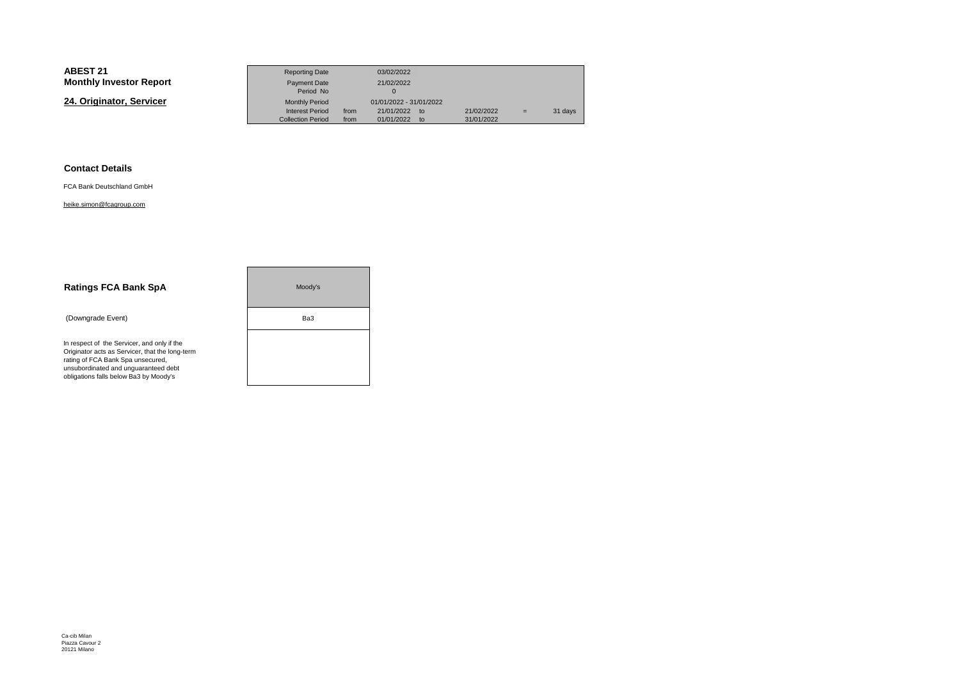# **ABEST 21**

| ABEST 21                       | <b>Reporting Date</b>                       |              | 03/02/2022                           |                          |   |         |
|--------------------------------|---------------------------------------------|--------------|--------------------------------------|--------------------------|---|---------|
| <b>Monthly Investor Report</b> | <b>Payment Date</b><br>Period No            |              | 21/02/2022                           |                          |   |         |
| 24. Originator, Servicer       | <b>Monthly Period</b>                       |              | 01/01/2022 - 31/01/2022              |                          |   |         |
|                                | Interest Period<br><b>Collection Period</b> | from<br>from | 21/01/2022<br>to<br>01/01/2022<br>to | 21/02/2022<br>31/01/2022 | = | 31 days |

# **Contact Details**

FCA Bank Deutschland GmbH

### heike.simon@fcagroup.com

| <b>Ratings FCA Bank SpA</b>                                                                                                                                                                                           | Moody's |
|-----------------------------------------------------------------------------------------------------------------------------------------------------------------------------------------------------------------------|---------|
| (Downgrade Event)                                                                                                                                                                                                     | Ba3     |
| In respect of the Servicer, and only if the<br>Originator acts as Servicer, that the long-term<br>rating of FCA Bank Spa unsecured,<br>unsubordinated and unquaranteed debt<br>obligations falls below Ba3 by Moody's |         |